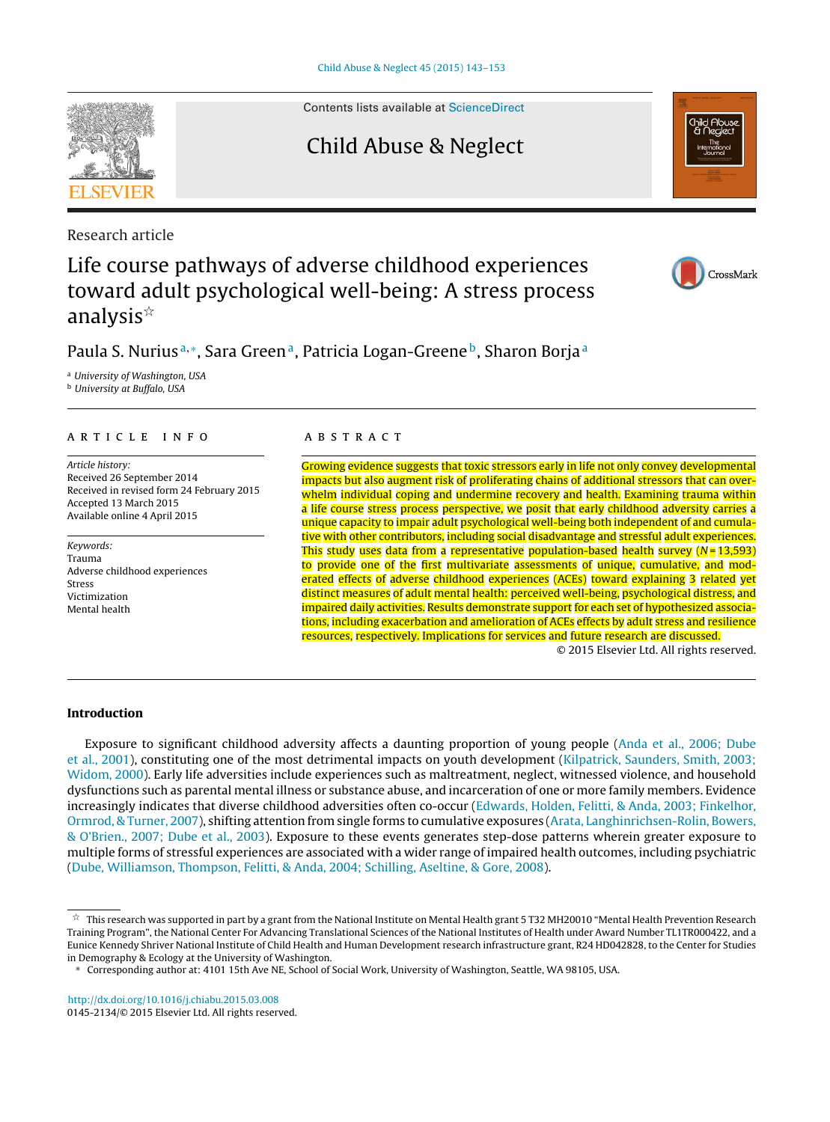Contents lists available at [ScienceDirect](http://www.sciencedirect.com/science/journal/01452134)

# Child Abuse & Neglect

Research article

# Life course pathways of adverse childhood experiences toward adult psychological well-being: A stress process analysis $^{\scriptscriptstyle\mathrm{st}}$

# Paula S. Nurius<sup>a,∗</sup>, Sara Green<sup>a</sup>, Patricia Logan-Greene<sup>b</sup>, Sharon Borja<sup>a</sup>

<sup>a</sup> University of Washington, USA

**b** University at Buffalo, USA

# a r t i c l e i n f o

Article history: Received 26 September 2014 Received in revised form 24 February 2015 Accepted 13 March 2015 Available online 4 April 2015

Keywords: Trauma Adverse childhood experiences Stress Victimization Mental health

## A B S T R A C T

Growing evidence suggests that toxic stressors early in life not only convey developmental impacts but also augment risk of proliferating chains of additional stressors that can overwhelm individual coping and undermine recovery and health. Examining trauma within a life course stress process perspective, we posit that early childhood adversity carries a unique capacity to impair adult psychological well-being both independent of and cumulative with other contributors, including social disadvantage and stressful adult experiences. This study uses data from a representative population-based health survey  $(N = 13,593)$ to provide one of the first multivariate assessments of unique, cumulative, and moderated effects of adverse childhood experiences (ACEs) toward explaining 3 related yet distinct measures of adult mental health: perceived well-being, psychological distress, and impaired daily activities. Results demonstrate support for each set of hypothesized associations, including exacerbation and amelioration of ACEs effects by adult stress and resilience resources, respectively. Implications for services and future research are discussed.

© 2015 Elsevier Ltd. All rights reserved.

## **Introduction**

Exposure to significant childhood adversity affects a daunting proportion of young people [\(Anda](#page-8-0) et [al.,](#page-8-0) [2006;](#page-8-0) [Dube](#page-8-0) et [al.,](#page-8-0) [2001\),](#page-8-0) constituting one of the most detrimental impacts on youth development ([Kilpatrick,](#page-9-0) [Saunders,](#page-9-0) [Smith,](#page-9-0) [2003;](#page-9-0) [Widom,](#page-10-0) [2000\).](#page-10-0) Early life adversities include experiences such as maltreatment, neglect, witnessed violence, and household dysfunctions such as parental mental illness or substance abuse, and incarceration of one or more family members. Evidence increasingly indicates that diverse childhood adversities often co-occur ([Edwards,](#page-9-0) [Holden,](#page-9-0) [Felitti,](#page-9-0) [&](#page-9-0) [Anda,](#page-9-0) [2003;](#page-9-0) [Finkelhor,](#page-9-0) [Ormrod,](#page-9-0) [&](#page-9-0) [Turner,](#page-9-0) [2007\),](#page-9-0) shifting attention from single forms to cumulative exposures [\(Arata,](#page-8-0) [Langhinrichsen-Rolin,](#page-8-0) [Bowers,](#page-8-0) [&](#page-8-0) [O'Brien.,](#page-8-0) [2007;](#page-8-0) [Dube](#page-9-0) et [al.,](#page-9-0) [2003\).](#page-9-0) Exposure to these events generates step-dose patterns wherein greater exposure to multiple forms of stressful experiences are associated with a wider range of impaired health outcomes, including psychiatric [\(Dube,](#page-9-0) [Williamson,](#page-9-0) [Thompson,](#page-9-0) [Felitti,](#page-9-0) [&](#page-9-0) [Anda,](#page-9-0) [2004;](#page-9-0) [Schilling,](#page-9-0) [Aseltine,](#page-9-0) [&](#page-9-0) [Gore,](#page-9-0) [2008\).](#page-9-0)

[http://dx.doi.org/10.1016/j.chiabu.2015.03.008](dx.doi.org/10.1016/j.chiabu.2015.03.008) 0145-2134/© 2015 Elsevier Ltd. All rights reserved.







 $^\star~$  This research was supported in part by a grant from the National Institute on Mental Health grant 5 T32 MH20010 "Mental Health Prevention Research Training Program", the National Center For Advancing Translational Sciences of the National Institutes of Health under Award Number TL1TR000422, and a Eunice Kennedy Shriver National Institute of Child Health and Human Development research infrastructure grant, R24 HD042828, to the Center for Studies in Demography & Ecology at the University of Washington.

<sup>∗</sup> Corresponding author at: 4101 15th Ave NE, School of Social Work, University of Washington, Seattle, WA 98105, USA.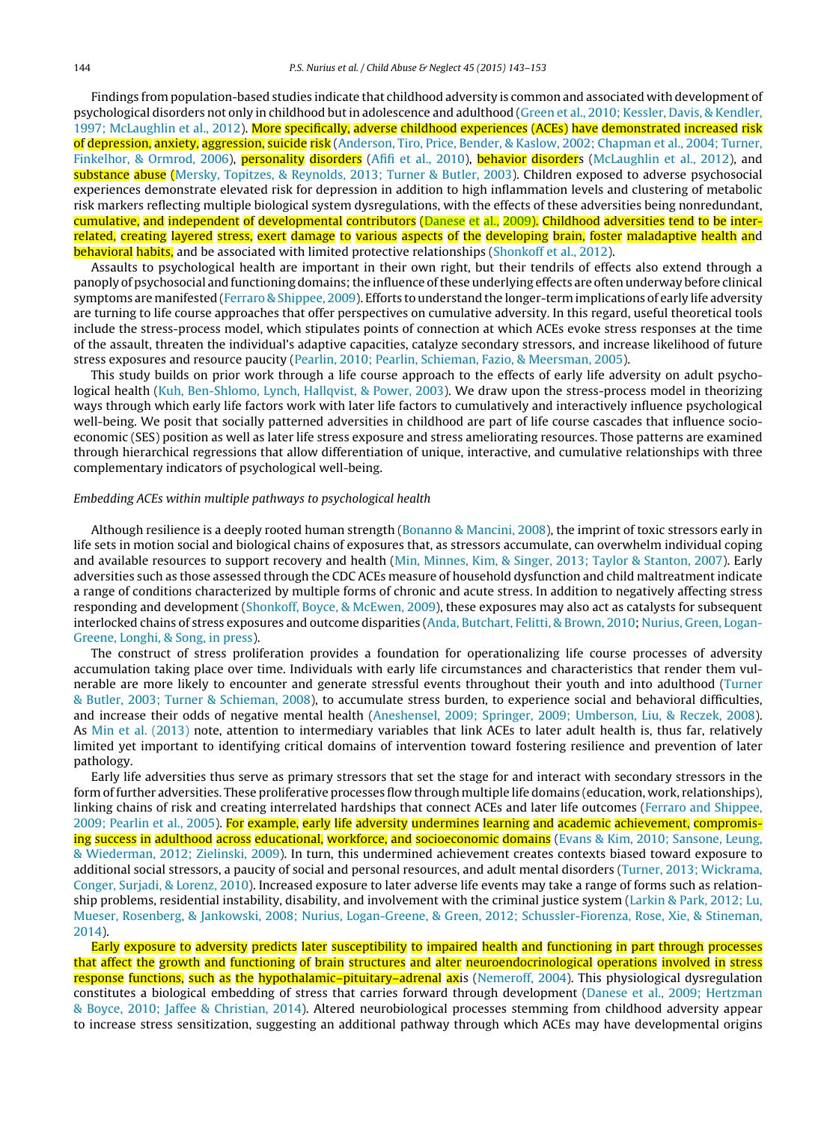Findings from population-based studies indicate that childhood adversity is common and associated with development of psychological disorders not only in childhood butin adolescence and adulthood ([Green](#page-9-0) et [al.,](#page-9-0) [2010;](#page-9-0) [Kessler,](#page-9-0) [Davis,](#page-9-0) [&](#page-9-0) [Kendler,](#page-9-0) [1997;](#page-9-0) [McLaughlin](#page-10-0) et [al.,](#page-10-0) [2012\).](#page-10-0) More specifically, adverse childhood experiences (ACEs) have demonstrated increased risk of depression, anxiety, aggression, suicide risk [\(Anderson,](#page-8-0) [Tiro,](#page-8-0) [Price,](#page-8-0) [Bender,](#page-8-0) [&](#page-8-0) [Kaslow,](#page-8-0) [2002;](#page-8-0) [Chapman](#page-9-0) et [al.,](#page-9-0) [2004;](#page-9-0) [Turner,](#page-9-0) [Finkelhor,](#page-9-0) [&](#page-9-0) [Ormrod,](#page-9-0) [2006\),](#page-9-0) personality disorders ([Afifi](#page-8-0) et [al.,](#page-10-0) [2010\),](#page-8-0) behavior disorders [\(McLaughlin](#page-10-0) et al., [2012\),](#page-10-0) and substance abuse [\(Mersky,](#page-10-0) [Topitzes,](#page-10-0) [&](#page-10-0) [Reynolds,](#page-10-0) [2013;](#page-10-0) [Turner](#page-10-0) & [Butler,](#page-10-0) [2003\).](#page-10-0) Children exposed to adverse psychosocial experiences demonstrate elevated risk for depression in addition to high inflammation levels and clustering of metabolic risk markers reflecting multiple biological system dysregulations, with the effects of these adversities being nonredundant, cumulative, and independent of developmental contributors ([Danese](#page-9-0) et [al.,](#page-9-0) [2009\).](#page-9-0) Childhood adversities tend to be interrelated, creating layered stress, exert damage to various aspects of the developing brain, foster maladaptive health and behavioral habits, and be associated with limited protective relationships [\(Shonkoff](#page-10-0) et [al.,](#page-10-0) [2012\).](#page-10-0)

Assaults to psychological health are important in their own right, but their tendrils of effects also extend through a panoply of psychosocial and functioning domains;the influence ofthese underlying effects are often underway before clinical symptoms are manifested [\(Ferraro](#page-9-0) [&](#page-9-0) [Shippee,](#page-9-0) [2009\).](#page-9-0) Efforts to understand the longer-term implications of early life adversity are turning to life course approaches that offer perspectives on cumulative adversity. In this regard, useful theoretical tools include the stress-process model, which stipulates points of connection at which ACEs evoke stress responses at the time of the assault, threaten the individual's adaptive capacities, catalyze secondary stressors, and increase likelihood of future stress exposures and resource paucity ([Pearlin,](#page-10-0) [2010;](#page-10-0) [Pearlin,](#page-10-0) [Schieman,](#page-10-0) [Fazio,](#page-10-0) [&](#page-10-0) [Meersman,](#page-10-0) [2005\).](#page-10-0)

This study builds on prior work through a life course approach to the effects of early life adversity on adult psychological health ([Kuh,](#page-9-0) [Ben-Shlomo,](#page-9-0) [Lynch,](#page-9-0) [Hallqvist,](#page-9-0) [&](#page-9-0) [Power,](#page-9-0) [2003\).](#page-9-0) We draw upon the stress-process model in theorizing ways through which early life factors work with later life factors to cumulatively and interactively influence psychological well-being. We posit that socially patterned adversities in childhood are part of life course cascades that influence socioeconomic (SES) position as well as later life stress exposure and stress ameliorating resources. Those patterns are examined through hierarchical regressions that allow differentiation of unique, interactive, and cumulative relationships with three complementary indicators of psychological well-being.

#### Embedding ACEs within multiple pathways to psychological health

Although resilience is a deeply rooted human strength ([Bonanno](#page-8-0) [&](#page-8-0) [Mancini,](#page-8-0) [2008\),](#page-8-0) the imprint of toxic stressors early in life sets in motion social and biological chains of exposures that, as stressors accumulate, can overwhelm individual coping and available resources to support recovery and health ([Min,](#page-10-0) [Minnes,](#page-10-0) [Kim,](#page-10-0) [&](#page-10-0) [Singer,](#page-10-0) [2013;](#page-10-0) [Taylor](#page-10-0) [&](#page-10-0) [Stanton,](#page-10-0) [2007\).](#page-10-0) Early adversities such as those assessed through the CDC ACEs measure of household dysfunction and child maltreatment indicate a range of conditions characterized by multiple forms of chronic and acute stress. In addition to negatively affecting stress responding and development [\(Shonkoff,](#page-10-0) [Boyce,](#page-10-0) [&](#page-10-0) [McEwen,](#page-10-0) [2009\),](#page-10-0) these exposures may also act as catalysts for subsequent interlocked chains of stress exposures and outcome disparities ([Anda,](#page-8-0) [Butchart,](#page-8-0) [Felitti,](#page-8-0) [&](#page-8-0) [Brown,](#page-8-0) [2010;](#page-8-0) [Nurius,](#page-10-0) [Green,](#page-10-0) [Logan-](#page-10-0)Greene, [Longhi,](#page-10-0) [&](#page-10-0) [Song,](#page-10-0) [in](#page-10-0) [press\).](#page-10-0)

The construct of stress proliferation provides a foundation for operationalizing life course processes of adversity accumulation taking place over time. Individuals with early life circumstances and characteristics that render them vulnerable are more likely to encounter and generate stressful events throughout their youth and into adulthood ([Turner](#page-10-0) [&](#page-10-0) [Butler,](#page-10-0) [2003;](#page-10-0) [Turner](#page-10-0) [&](#page-10-0) [Schieman,](#page-10-0) [2008\),](#page-10-0) to accumulate stress burden, to experience social and behavioral difficulties, and increase their odds of negative mental health [\(Aneshensel,](#page-8-0) [2009;](#page-8-0) [Springer,](#page-8-0) [2009;](#page-8-0) [Umberson,](#page-8-0) [Liu,](#page-8-0) [&](#page-8-0) [Reczek,](#page-8-0) [2008\).](#page-8-0) As [Min](#page-10-0) et [al.](#page-10-0) [\(2013\)](#page-10-0) note, attention to intermediary variables that link ACEs to later adult health is, thus far, relatively limited yet important to identifying critical domains of intervention toward fostering resilience and prevention of later pathology.

Early life adversities thus serve as primary stressors that set the stage for and interact with secondary stressors in the form of further adversities. These proliferative processes flow through multiple life domains (education, work, relationships), linking chains of risk and creating interrelated hardships that connect ACEs and later life outcomes [\(Ferraro](#page-9-0) [and](#page-9-0) [Shippee,](#page-9-0) [2009;](#page-9-0) [Pearlin](#page-9-0) et [al.,](#page-9-0) [2005\).](#page-9-0) For example, early life adversity undermines learning and academic achievement, compromis-ing success in adulthood across educational, workforce, and socioeconomic domains ([Evans](#page-9-0) [&](#page-9-0) [Kim,](#page-9-0) [2010;](#page-9-0) [Sansone,](#page-9-0) [Leung,](#page-9-0) [&](#page-9-0) [Wiederman,](#page-9-0) [2012;](#page-9-0) [Zielinski,](#page-10-0) [2009\).](#page-10-0) In turn, this undermined achievement creates contexts biased toward exposure to additional social stressors, a paucity of social and personal resources, and adult mental disorders [\(Turner,](#page-10-0) [2013;](#page-10-0) [Wickrama,](#page-10-0) [Conger,](#page-10-0) [Surjadi,](#page-10-0) [&](#page-10-0) [Lorenz,](#page-10-0) [2010\).](#page-10-0) Increased exposure to later adverse life events may take a range of forms such as relationship problems, residential instability, disability, and involvement with the criminal justice system ([Larkin](#page-9-0) [&](#page-9-0) [Park,](#page-9-0) [2012;](#page-9-0) [Lu,](#page-9-0) [Mueser,](#page-9-0) [Rosenberg,](#page-9-0) [&](#page-9-0) [Jankowski,](#page-9-0) [2008;](#page-9-0) [Nurius,](#page-9-0) [Logan-Greene,](#page-9-0) [&](#page-9-0) [Green,](#page-9-0) [2012;](#page-9-0) [Schussler-Fiorenza,](#page-9-0) [Rose,](#page-9-0) [Xie,](#page-9-0) [&](#page-9-0) [Stineman,](#page-9-0) [2014\).](#page-9-0)

Early exposure to adversity predicts later susceptibility to impaired health and functioning in part through processes that affect the growth and functioning of brain structures and alter neuroendocrinological operations involved in stress response functions, such as the hypothalamic–pituitary–adrenal axis ([Nemeroff,](#page-10-0) [2004\).](#page-10-0) This physiological dysregulation constitutes a biological embedding of stress that carries forward through development ([Danese](#page-9-0) et [al.,](#page-9-0) [2009;](#page-9-0) [Hertzman](#page-9-0) [&](#page-9-0) [Boyce,](#page-9-0) [2010;](#page-9-0) [Jaffee](#page-9-0) [&](#page-9-0) [Christian,](#page-9-0) [2014\).](#page-9-0) Altered neurobiological processes stemming from childhood adversity appear to increase stress sensitization, suggesting an additional pathway through which ACEs may have developmental origins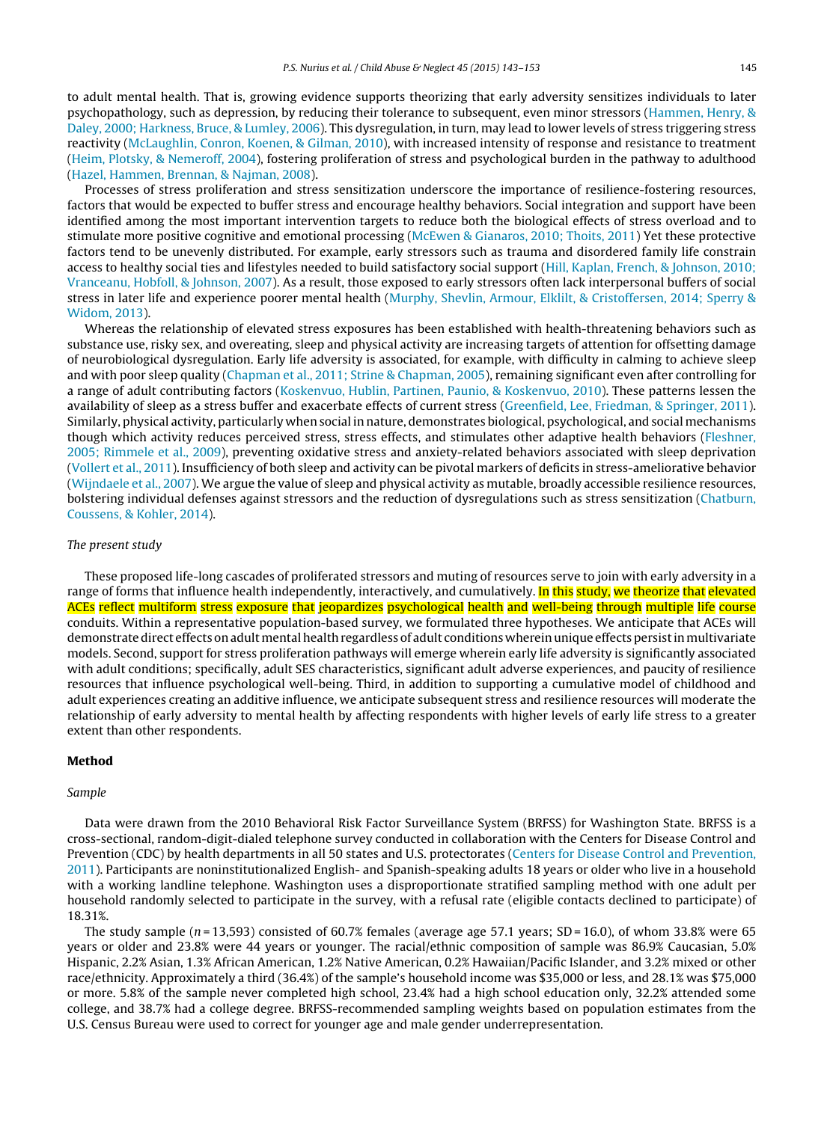to adult mental health. That is, growing evidence supports theorizing that early adversity sensitizes individuals to later psychopathology, such as depression, by reducing their tolerance to subsequent, even minor stressors [\(Hammen,](#page-9-0) [Henry,](#page-9-0) [&](#page-9-0) [Daley,](#page-9-0) [2000;](#page-9-0) [Harkness,](#page-9-0) [Bruce,](#page-9-0) [&](#page-9-0) [Lumley,](#page-9-0) [2006\).](#page-9-0) This dysregulation, in turn, may lead to lower levels of stress triggering stress reactivity [\(McLaughlin,](#page-10-0) [Conron,](#page-10-0) [Koenen,](#page-10-0) [&](#page-10-0) [Gilman,](#page-10-0) [2010\),](#page-10-0) with increased intensity of response and resistance to treatment [\(Heim,](#page-9-0) [Plotsky,](#page-9-0) [&](#page-9-0) [Nemeroff,](#page-9-0) [2004\),](#page-9-0) fostering proliferation of stress and psychological burden in the pathway to adulthood [\(Hazel,](#page-9-0) [Hammen,](#page-9-0) [Brennan,](#page-9-0) [&](#page-9-0) [Najman,](#page-9-0) [2008\).](#page-9-0)

Processes of stress proliferation and stress sensitization underscore the importance of resilience-fostering resources, factors that would be expected to buffer stress and encourage healthy behaviors. Social integration and support have been identified among the most important intervention targets to reduce both the biological effects of stress overload and to stimulate more positive cognitive and emotional processing [\(McEwen](#page-9-0) [&](#page-9-0) [Gianaros,](#page-9-0) [2010;](#page-9-0) [Thoits,](#page-10-0) [2011\)](#page-10-0) Yet these protective factors tend to be unevenly distributed. For example, early stressors such as trauma and disordered family life constrain access to healthy social ties and lifestyles needed to build satisfactory social support ([Hill,](#page-9-0) [Kaplan,](#page-9-0) [French,](#page-9-0) [&](#page-9-0) [Johnson,](#page-9-0) [2010;](#page-9-0) [Vranceanu,](#page-9-0) [Hobfoll,](#page-9-0) [&](#page-9-0) [Johnson,](#page-9-0) [2007\).](#page-9-0) As a result, those exposed to early stressors often lack interpersonal buffers of social stress in later life and experience poorer mental health ([Murphy,](#page-10-0) [Shevlin,](#page-10-0) [Armour,](#page-10-0) [Elklilt,](#page-10-0) [&](#page-10-0) [Cristoffersen,](#page-10-0) [2014;](#page-10-0) [Sperry](#page-10-0) [&](#page-10-0) [Widom,](#page-10-0) [2013\).](#page-10-0)

Whereas the relationship of elevated stress exposures has been established with health-threatening behaviors such as substance use, risky sex, and overeating, sleep and physical activity are increasing targets of attention for offsetting damage of neurobiological dysregulation. Early life adversity is associated, for example, with difficulty in calming to achieve sleep and with poor sleep quality [\(Chapman](#page-8-0) et [al.,](#page-8-0) [2011;](#page-8-0) [Strine](#page-8-0) [&](#page-8-0) [Chapman,](#page-8-0) [2005\),](#page-8-0) remaining significant even after controlling for a range of adult contributing factors [\(Koskenvuo,](#page-9-0) [Hublin,](#page-9-0) [Partinen,](#page-9-0) [Paunio,](#page-9-0) [&](#page-9-0) [Koskenvuo,](#page-9-0) [2010\).](#page-9-0) These patterns lessen the availability of sleep as a stress buffer and exacerbate effects of current stress [\(Greenfield,](#page-9-0) [Lee,](#page-9-0) [Friedman,](#page-9-0) [&](#page-9-0) [Springer,](#page-9-0) [2011\).](#page-9-0) Similarly, physical activity, particularly when social in nature, demonstrates biological, psychological, and social mechanisms though which activity reduces perceived stress, stress effects, and stimulates other adaptive health behaviors ([Fleshner,](#page-9-0) [2005;](#page-9-0) [Rimmele](#page-9-0) et [al.,](#page-9-0) [2009\),](#page-9-0) preventing oxidative stress and anxiety-related behaviors associated with sleep deprivation [\(Vollert](#page-10-0) et [al.,](#page-10-0) [2011\).](#page-10-0) Insufficiency of both sleep and activity can be pivotal markers of deficits in stress-ameliorative behavior [\(Wijndaele](#page-10-0) et [al.,](#page-10-0) [2007\).](#page-10-0) We argue the value of sleep and physical activity as mutable, broadly accessible resilience resources, bolstering individual defenses against stressors and the reduction of dysregulations such as stress sensitization ([Chatburn,](#page-9-0) [Coussens,](#page-9-0) [&](#page-9-0) [Kohler,](#page-9-0) [2014\).](#page-9-0)

#### The present study

These proposed life-long cascades of proliferated stressors and muting of resources serve to join with early adversity in a range of forms that influence health independently, interactively, and cumulatively. In this study, we theorize that elevated ACEs reflect multiform stress exposure that jeopardizes psychological health and well-being through multiple life course conduits. Within a representative population-based survey, we formulated three hypotheses. We anticipate that ACEs will demonstrate direct effects on adult mental health regardless of adult conditions wherein unique effects persist in multivariate models. Second, support for stress proliferation pathways will emerge wherein early life adversity is significantly associated with adult conditions; specifically, adult SES characteristics, significant adult adverse experiences, and paucity of resilience resources that influence psychological well-being. Third, in addition to supporting a cumulative model of childhood and adult experiences creating an additive influence, we anticipate subsequent stress and resilience resources will moderate the relationship of early adversity to mental health by affecting respondents with higher levels of early life stress to a greater extent than other respondents.

### **Method**

#### Sample

Data were drawn from the 2010 Behavioral Risk Factor Surveillance System (BRFSS) for Washington State. BRFSS is a cross-sectional, random-digit-dialed telephone survey conducted in collaboration with the Centers for Disease Control and Prevention (CDC) by health departments in all 50 states and U.S. protectorates [\(Centers](#page-8-0) [for](#page-8-0) [Disease](#page-8-0) [Control](#page-8-0) [and](#page-8-0) [Prevention,](#page-8-0) [2011\).](#page-8-0) Participants are noninstitutionalized English- and Spanish-speaking adults 18 years or older who live in a household with a working landline telephone. Washington uses a disproportionate stratified sampling method with one adult per household randomly selected to participate in the survey, with a refusal rate (eligible contacts declined to participate) of 18.31%.

The study sample ( $n = 13,593$ ) consisted of 60.7% females (average age 57.1 years; SD = 16.0), of whom 33.8% were 65 years or older and 23.8% were 44 years or younger. The racial/ethnic composition of sample was 86.9% Caucasian, 5.0% Hispanic, 2.2% Asian, 1.3% African American, 1.2% Native American, 0.2% Hawaiian/Pacific Islander, and 3.2% mixed or other race/ethnicity. Approximately a third (36.4%) of the sample's household income was \$35,000 or less, and 28.1% was \$75,000 or more. 5.8% of the sample never completed high school, 23.4% had a high school education only, 32.2% attended some college, and 38.7% had a college degree. BRFSS-recommended sampling weights based on population estimates from the U.S. Census Bureau were used to correct for younger age and male gender underrepresentation.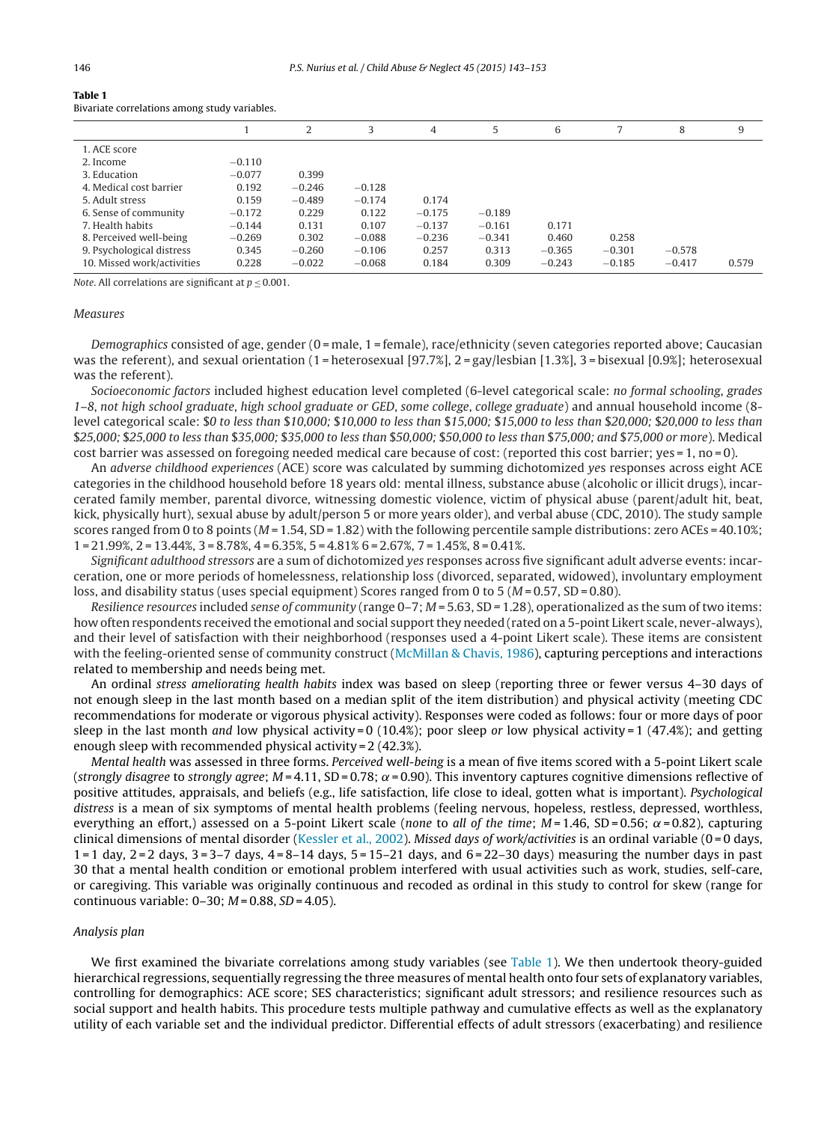|                            |          | 2        | 3        | 4        | 5        | 6        |          | 8        | 9     |
|----------------------------|----------|----------|----------|----------|----------|----------|----------|----------|-------|
| 1. ACE score               |          |          |          |          |          |          |          |          |       |
| 2. Income                  | $-0.110$ |          |          |          |          |          |          |          |       |
| 3. Education               | $-0.077$ | 0.399    |          |          |          |          |          |          |       |
| 4. Medical cost barrier    | 0.192    | $-0.246$ | $-0.128$ |          |          |          |          |          |       |
| 5. Adult stress            | 0.159    | $-0.489$ | $-0.174$ | 0.174    |          |          |          |          |       |
| 6. Sense of community      | $-0.172$ | 0.229    | 0.122    | $-0.175$ | $-0.189$ |          |          |          |       |
| 7. Health habits           | $-0.144$ | 0.131    | 0.107    | $-0.137$ | $-0.161$ | 0.171    |          |          |       |
| 8. Perceived well-being    | $-0.269$ | 0.302    | $-0.088$ | $-0.236$ | $-0.341$ | 0.460    | 0.258    |          |       |
| 9. Psychological distress  | 0.345    | $-0.260$ | $-0.106$ | 0.257    | 0.313    | $-0.365$ | $-0.301$ | $-0.578$ |       |
| 10. Missed work/activities | 0.228    | $-0.022$ | $-0.068$ | 0.184    | 0.309    | $-0.243$ | $-0.185$ | $-0.417$ | 0.579 |
|                            |          |          |          |          |          |          |          |          |       |

<span id="page-3-0"></span>**Table 1**

Bivariate correlations among study variables.

Note. All correlations are significant at  $p < 0.001$ .

#### **Measures**

Demographics consisted of age, gender  $(0 =$  male,  $1 =$  female), race/ethnicity (seven categories reported above; Caucasian was the referent), and sexual orientation (1 = heterosexual [97.7%], 2 = gay/lesbian [1.3%], 3 = bisexual [0.9%]; heterosexual was the referent).

Socioeconomic factors included highest education level completed (6-level categorical scale: no formal schooling, grades 1–8, not high school graduate, high school graduate or GED, some college, college graduate) and annual household income (8 level categorical scale: \$0 to less than \$10,000; \$10,000 to less than \$15,000; \$15,000 to less than \$20,000; \$20,000 to less than \$25,000; \$25,000 to less than \$35,000; \$35,000 to less than \$50,000; \$50,000 to less than \$75,000; and \$75,000 or more). Medical cost barrier was assessed on foregoing needed medical care because of cost: (reported this cost barrier; yes = 1, no = 0).

An adverse childhood experiences (ACE) score was calculated by summing dichotomized yes responses across eight ACE categories in the childhood household before 18 years old: mental illness, substance abuse (alcoholic or illicit drugs), incarcerated family member, parental divorce, witnessing domestic violence, victim of physical abuse (parent/adult hit, beat, kick, physically hurt), sexual abuse by adult/person 5 or more years older), and verbal abuse (CDC, 2010). The study sample scores ranged from 0 to 8 points ( $M = 1.54$ , SD = 1.82) with the following percentile sample distributions: zero ACEs = 40.10%; 1 = 21.99%, 2 = 13.44%, 3 = 8.78%, 4 = 6.35%, 5 = 4.81% 6 = 2.67%, 7 = 1.45%, 8 = 0.41%.

Significant adulthood stressors are a sum of dichotomized yes responses across five significant adult adverse events: incarceration, one or more periods of homelessness, relationship loss (divorced, separated, widowed), involuntary employment loss, and disability status (uses special equipment) Scores ranged from 0 to 5 ( $M = 0.57$ , SD = 0.80).

Resilience resources included sense of community (range  $0-7$ ;  $M = 5.63$ ,  $SD = 1.28$ ), operationalized as the sum of two items: how often respondents received the emotional and social support they needed (rated on a 5-point Likert scale, never-always), and their level of satisfaction with their neighborhood (responses used a 4-point Likert scale). These items are consistent with the feeling-oriented sense of community construct ([McMillan](#page-10-0) [&](#page-10-0) [Chavis,](#page-10-0) [1986\),](#page-10-0) capturing perceptions and interactions related to membership and needs being met.

An ordinal stress ameliorating health habits index was based on sleep (reporting three or fewer versus 4–30 days of not enough sleep in the last month based on a median split of the item distribution) and physical activity (meeting CDC recommendations for moderate or vigorous physical activity). Responses were coded as follows: four or more days of poor sleep in the last month and low physical activity = 0 (10.4%); poor sleep or low physical activity = 1 (47.4%); and getting enough sleep with recommended physical activity = 2 (42.3%).

Mental health was assessed in three forms. Perceived well-being is a mean of five items scored with a 5-point Likert scale (strongly disagree to strongly agree;  $M = 4.11$ , SD = 0.78;  $\alpha$  = 0.90). This inventory captures cognitive dimensions reflective of positive attitudes, appraisals, and beliefs (e.g., life satisfaction, life close to ideal, gotten what is important). Psychological distress is a mean of six symptoms of mental health problems (feeling nervous, hopeless, restless, depressed, worthless, everything an effort,) assessed on a 5-point Likert scale (none to all of the time;  $M = 1.46$ , SD = 0.56;  $\alpha = 0.82$ ), capturing clinical dimensions of mental disorder [\(Kessler](#page-9-0) et [al.,](#page-9-0) [2002\).](#page-9-0) Missed days of work/activities is an ordinal variable (0 = 0 days,  $1 = 1$  day,  $2 = 2$  days,  $3 = 3 - 7$  days,  $4 = 8 - 14$  days,  $5 = 15 - 21$  days, and  $6 = 22 - 30$  days) measuring the number days in past 30 that a mental health condition or emotional problem interfered with usual activities such as work, studies, self-care, or caregiving. This variable was originally continuous and recoded as ordinal in this study to control for skew (range for continuous variable:  $0-30$ ;  $M = 0.88$ ,  $SD = 4.05$ ).

### Analysis plan

We first examined the bivariate correlations among study variables (see Table 1). We then undertook theory-guided hierarchical regressions, sequentially regressing the three measures of mental health onto four sets of explanatory variables, controlling for demographics: ACE score; SES characteristics; significant adult stressors; and resilience resources such as social support and health habits. This procedure tests multiple pathway and cumulative effects as well as the explanatory utility of each variable set and the individual predictor. Differential effects of adult stressors (exacerbating) and resilience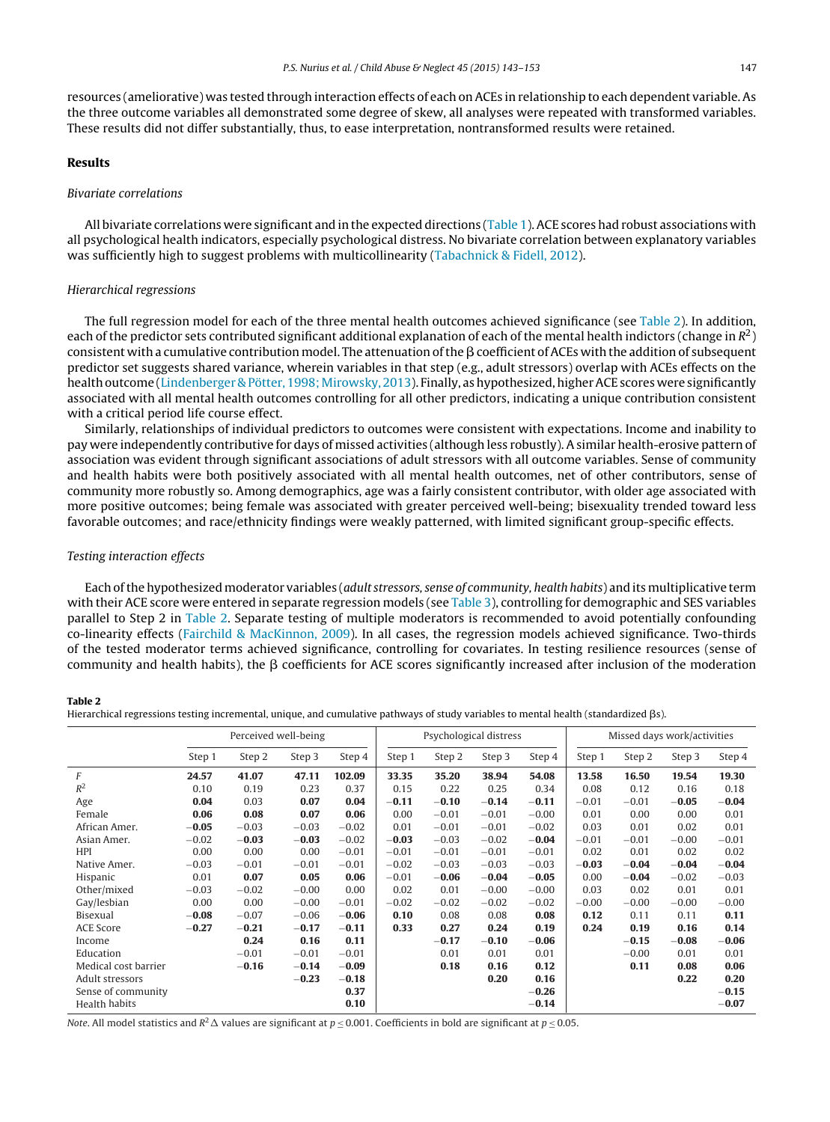<span id="page-4-0"></span>resources (ameliorative) was tested through interaction effects of each on ACEs in relationship to each dependent variable. As the three outcome variables all demonstrated some degree of skew, all analyses were repeated with transformed variables. These results did not differ substantially, thus, to ease interpretation, nontransformed results were retained.

#### **Results**

#### Bivariate correlations

All bivariate correlations were significant and in the expected directions [\(Table](#page-3-0) 1). ACE scores had robust associations with all psychological health indicators, especially psychological distress. No bivariate correlation between explanatory variables was sufficiently high to suggest problems with multicollinearity ([Tabachnick](#page-10-0) [&](#page-10-0) [Fidell,](#page-10-0) [2012\).](#page-10-0)

#### Hierarchical regressions

The full regression model for each of the three mental health outcomes achieved significance (see Table 2). In addition, each of the predictor sets contributed significant additional explanation of each of the mental health indictors (change in  $\mathbb{R}^2$ ) consistent with a cumulative contribution model. The attenuation of the  $\beta$  coefficient of ACEs with the addition of subsequent predictor set suggests shared variance, wherein variables in that step (e.g., adult stressors) overlap with ACEs effects on the healthoutcome [\(Lindenberger](#page-9-0) [&](#page-9-0) [Pötter,](#page-9-0) [1998;](#page-9-0) [Mirowsky,](#page-10-0) [2013\).](#page-10-0) Finally, as hypothesized, higher ACE scores were significantly associated with all mental health outcomes controlling for all other predictors, indicating a unique contribution consistent with a critical period life course effect.

Similarly, relationships of individual predictors to outcomes were consistent with expectations. Income and inability to pay were independently contributive for days of missed activities (although less robustly). A similar health-erosive pattern of association was evident through significant associations of adult stressors with all outcome variables. Sense of community and health habits were both positively associated with all mental health outcomes, net of other contributors, sense of community more robustly so. Among demographics, age was a fairly consistent contributor, with older age associated with more positive outcomes; being female was associated with greater perceived well-being; bisexuality trended toward less favorable outcomes; and race/ethnicity findings were weakly patterned, with limited significant group-specific effects.

#### Testing interaction effects

Each ofthe hypothesized moderator variables (adult stressors, sense of community, health habits) and its multiplicative term with their ACE score were entered in separate regression models (see [Table](#page-5-0) 3), controlling for demographic and SES variables parallel to Step 2 in Table 2. Separate testing of multiple moderators is recommended to avoid potentially confounding co-linearity effects [\(Fairchild](#page-9-0) [&](#page-9-0) [MacKinnon,](#page-9-0) [2009\).](#page-9-0) In all cases, the regression models achieved significance. Two-thirds of the tested moderator terms achieved significance, controlling for covariates. In testing resilience resources (sense of community and health habits), the  $\beta$  coefficients for ACE scores significantly increased after inclusion of the moderation

#### **Table 2**

Hierarchical regressions testing incremental, unique, and cumulative pathways of study variables to mental health (standardized βs).

|                      | Perceived well-being |         |         | Psychological distress |         |         | Missed days work/activities |         |         |         |         |         |
|----------------------|----------------------|---------|---------|------------------------|---------|---------|-----------------------------|---------|---------|---------|---------|---------|
|                      | Step 1               | Step 2  | Step 3  | Step 4                 | Step 1  | Step 2  | Step 3                      | Step 4  | Step 1  | Step 2  | Step 3  | Step 4  |
| F                    | 24.57                | 41.07   | 47.11   | 102.09                 | 33.35   | 35.20   | 38.94                       | 54.08   | 13.58   | 16.50   | 19.54   | 19.30   |
| $R^2$                | 0.10                 | 0.19    | 0.23    | 0.37                   | 0.15    | 0.22    | 0.25                        | 0.34    | 0.08    | 0.12    | 0.16    | 0.18    |
| Age                  | 0.04                 | 0.03    | 0.07    | 0.04                   | $-0.11$ | $-0.10$ | $-0.14$                     | $-0.11$ | $-0.01$ | $-0.01$ | $-0.05$ | $-0.04$ |
| Female               | 0.06                 | 0.08    | 0.07    | 0.06                   | 0.00    | $-0.01$ | $-0.01$                     | $-0.00$ | 0.01    | 0.00    | 0.00    | 0.01    |
| African Amer.        | $-0.05$              | $-0.03$ | $-0.03$ | $-0.02$                | 0.01    | $-0.01$ | $-0.01$                     | $-0.02$ | 0.03    | 0.01    | 0.02    | 0.01    |
| Asian Amer.          | $-0.02$              | $-0.03$ | $-0.03$ | $-0.02$                | $-0.03$ | $-0.03$ | $-0.02$                     | $-0.04$ | $-0.01$ | $-0.01$ | $-0.00$ | $-0.01$ |
| <b>HPI</b>           | 0.00                 | 0.00    | 0.00    | $-0.01$                | $-0.01$ | $-0.01$ | $-0.01$                     | $-0.01$ | 0.02    | 0.01    | 0.02    | 0.02    |
| Native Amer.         | $-0.03$              | $-0.01$ | $-0.01$ | $-0.01$                | $-0.02$ | $-0.03$ | $-0.03$                     | $-0.03$ | $-0.03$ | $-0.04$ | $-0.04$ | $-0.04$ |
| Hispanic             | 0.01                 | 0.07    | 0.05    | 0.06                   | $-0.01$ | $-0.06$ | $-0.04$                     | $-0.05$ | 0.00    | $-0.04$ | $-0.02$ | $-0.03$ |
| Other/mixed          | $-0.03$              | $-0.02$ | $-0.00$ | 0.00                   | 0.02    | 0.01    | $-0.00$                     | $-0.00$ | 0.03    | 0.02    | 0.01    | 0.01    |
| Gay/lesbian          | 0.00                 | 0.00    | $-0.00$ | $-0.01$                | $-0.02$ | $-0.02$ | $-0.02$                     | $-0.02$ | $-0.00$ | $-0.00$ | $-0.00$ | $-0.00$ |
| Bisexual             | $-0.08$              | $-0.07$ | $-0.06$ | $-0.06$                | 0.10    | 0.08    | 0.08                        | 0.08    | 0.12    | 0.11    | 0.11    | 0.11    |
| <b>ACE Score</b>     | $-0.27$              | $-0.21$ | $-0.17$ | $-0.11$                | 0.33    | 0.27    | 0.24                        | 0.19    | 0.24    | 0.19    | 0.16    | 0.14    |
| Income               |                      | 0.24    | 0.16    | 0.11                   |         | $-0.17$ | $-0.10$                     | $-0.06$ |         | $-0.15$ | $-0.08$ | $-0.06$ |
| Education            |                      | $-0.01$ | $-0.01$ | $-0.01$                |         | 0.01    | 0.01                        | 0.01    |         | $-0.00$ | 0.01    | 0.01    |
| Medical cost barrier |                      | $-0.16$ | $-0.14$ | $-0.09$                |         | 0.18    | 0.16                        | 0.12    |         | 0.11    | 0.08    | 0.06    |
| Adult stressors      |                      |         | $-0.23$ | $-0.18$                |         |         | 0.20                        | 0.16    |         |         | 0.22    | 0.20    |
| Sense of community   |                      |         |         | 0.37                   |         |         |                             | $-0.26$ |         |         |         | $-0.15$ |
| Health habits        |                      |         |         | 0.10                   |         |         |                             | $-0.14$ |         |         |         | $-0.07$ |

Note. All model statistics and  $R^2\Delta$  values are significant at  $p \le 0.001$ . Coefficients in bold are significant at  $p \le 0.05$ .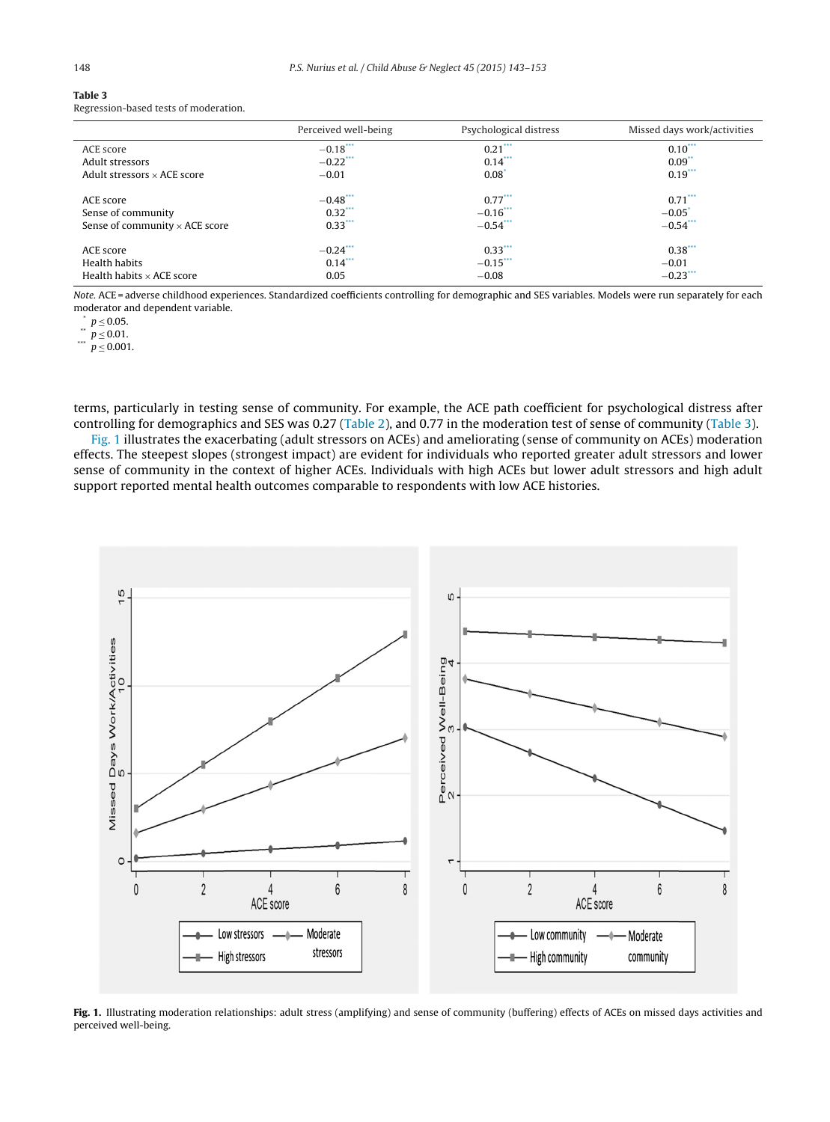<span id="page-5-0"></span>

|  | ×<br>٦<br>$\sim$ |  |
|--|------------------|--|
|  |                  |  |

| Table 3 |                                       |
|---------|---------------------------------------|
|         | Regression-based tests of moderation. |

|                                       | Perceived well-being | Psychological distress | Missed days work/activities |
|---------------------------------------|----------------------|------------------------|-----------------------------|
| ACE score                             | $-0.18***$           | $0.21***$              | $0.10***$                   |
| Adult stressors                       | $-0.22$ ***          | $0.14***$              | $0.09$ <sup>**</sup>        |
| Adult stressors $\times$ ACE score    | $-0.01$              | $0.08^{\degree}$       | $0.19***$                   |
| ACE score                             | $-0.48***$           | $0.77***$              | $0.71***$                   |
| Sense of community                    | $0.32***$            | $-0.16$ ***            | $-0.05$ <sup>*</sup>        |
| Sense of community $\times$ ACE score | $0.33***$            | $-0.54$ ***            | $-0.54$ ***                 |
| ACE score                             | $-0.24$ ***          | $0.33***$              | $0.38***$                   |
| Health habits                         | $0.14***$            | $-0.15***$             | $-0.01$                     |
| Health habits $\times$ ACE score      | 0.05                 | $-0.08$                | $-0.23$ ***                 |

Note. ACE = adverse childhood experiences. Standardized coefficients controlling for demographic and SES variables. Models were run separately for each moderator and dependent variable.<br>  $\binom{*}{} p \leq 0.05$ .

\*\*  $p \le 0.05$ .<br>\*\*\*  $p \le 0.01$ .<br> $p \le 0.001$ .

terms, particularly in testing sense of community. For example, the ACE path coefficient for psychological distress after controlling for demographics and SES was 0.27 ([Table](#page-4-0) 2), and 0.77 in the moderation test of sense of community (Table 3).

Fig. 1 illustrates the exacerbating (adult stressors on ACEs) and ameliorating (sense of community on ACEs) moderation effects. The steepest slopes (strongest impact) are evident for individuals who reported greater adult stressors and lower sense of community in the context of higher ACEs. Individuals with high ACEs but lower adult stressors and high adult support reported mental health outcomes comparable to respondents with low ACE histories.



**Fig. 1.** Illustrating moderation relationships: adult stress (amplifying) and sense of community (buffering) effects of ACEs on missed days activities and perceived well-being.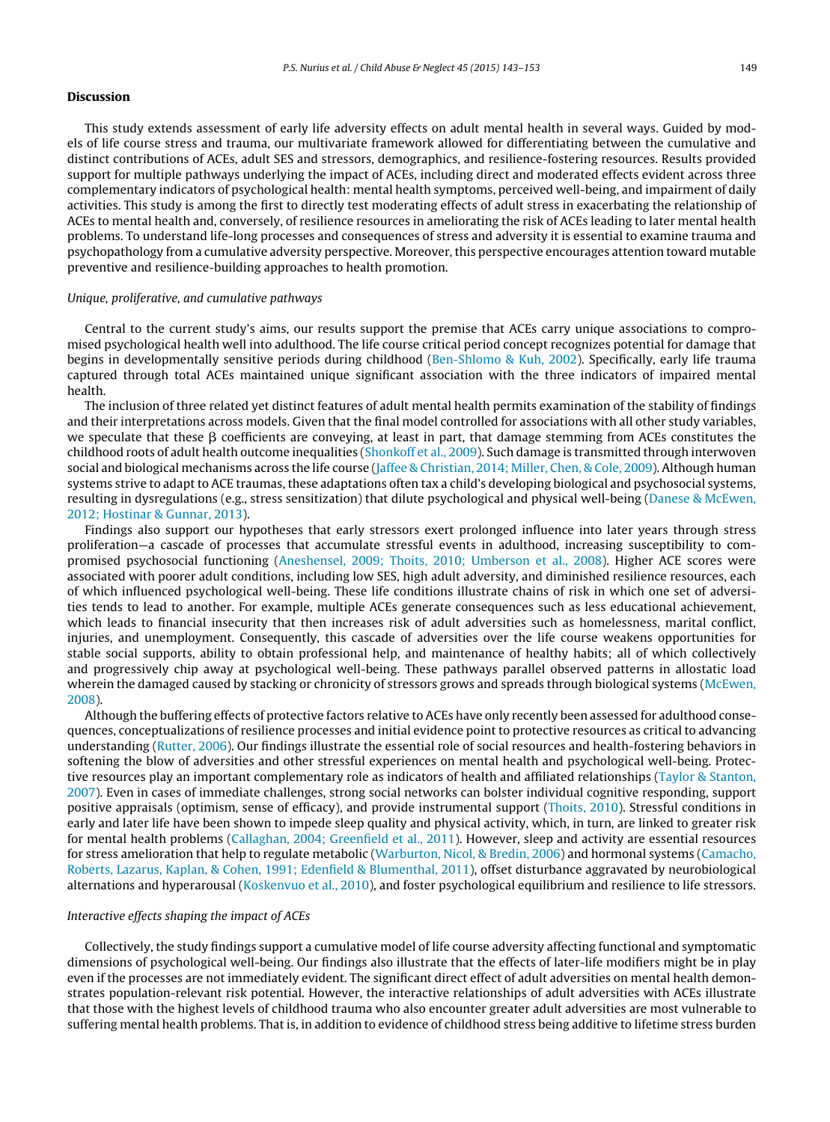#### **Discussion**

This study extends assessment of early life adversity effects on adult mental health in several ways. Guided by models of life course stress and trauma, our multivariate framework allowed for differentiating between the cumulative and distinct contributions of ACEs, adult SES and stressors, demographics, and resilience-fostering resources. Results provided support for multiple pathways underlying the impact of ACEs, including direct and moderated effects evident across three complementary indicators of psychological health: mental health symptoms, perceived well-being, and impairment of daily activities. This study is among the first to directly test moderating effects of adult stress in exacerbating the relationship of ACEs to mental health and, conversely, of resilience resources in ameliorating the risk of ACEs leading to later mental health problems. To understand life-long processes and consequences of stress and adversity it is essential to examine trauma and psychopathology from a cumulative adversity perspective. Moreover, this perspective encourages attention toward mutable preventive and resilience-building approaches to health promotion.

#### Unique, proliferative, and cumulative pathways

Central to the current study's aims, our results support the premise that ACEs carry unique associations to compromised psychological health well into adulthood. The life course critical period concept recognizes potential for damage that begins in developmentally sensitive periods during childhood ([Ben-Shlomo](#page-8-0) [&](#page-8-0) [Kuh,](#page-8-0) [2002\).](#page-8-0) Specifically, early life trauma captured through total ACEs maintained unique significant association with the three indicators of impaired mental health.

The inclusion of three related yet distinct features of adult mental health permits examination of the stability of findings and their interpretations across models. Given that the final model controlled for associations with all other study variables, we speculate that these  $\beta$  coefficients are conveying, at least in part, that damage stemming from ACEs constitutes the childhood roots of adult health outcome inequalities [\(Shonkoff](#page-10-0) et [al.,](#page-10-0) [2009\).](#page-10-0) Such damage is transmitted through interwoven social and biological mechanisms across the life course [\(Jaffee](#page-9-0) [&](#page-9-0) [Christian,](#page-9-0) [2014;](#page-9-0) [Miller,](#page-9-0) [Chen,](#page-9-0) [&](#page-9-0) [Cole,](#page-9-0) [2009\).](#page-9-0) Although human systems strive to adapt to ACE traumas, these adaptations often tax a child's developing biological and psychosocial systems, resulting in dysregulations (e.g., stress sensitization) that dilute psychological and physical well-being ([Danese](#page-9-0) [&](#page-9-0) [McEwen,](#page-9-0) [2012;](#page-9-0) [Hostinar](#page-9-0) [&](#page-9-0) [Gunnar,](#page-9-0) [2013\).](#page-9-0)

Findings also support our hypotheses that early stressors exert prolonged influence into later years through stress proliferation—a cascade of processes that accumulate stressful events in adulthood, increasing susceptibility to compromised psychosocial functioning [\(Aneshensel,](#page-8-0) [2009;](#page-8-0) [Thoits,](#page-8-0) [2010;](#page-8-0) [Umberson](#page-8-0) et [al.,](#page-8-0) [2008\).](#page-8-0) Higher ACE scores were associated with poorer adult conditions, including low SES, high adult adversity, and diminished resilience resources, each of which influenced psychological well-being. These life conditions illustrate chains of risk in which one set of adversities tends to lead to another. For example, multiple ACEs generate consequences such as less educational achievement, which leads to financial insecurity that then increases risk of adult adversities such as homelessness, marital conflict, injuries, and unemployment. Consequently, this cascade of adversities over the life course weakens opportunities for stable social supports, ability to obtain professional help, and maintenance of healthy habits; all of which collectively and progressively chip away at psychological well-being. These pathways parallel observed patterns in allostatic load wherein the damaged caused by stacking or chronicity of stressors grows and spreads through biological systems [\(McEwen,](#page-9-0) [2008\).](#page-9-0)

Although the buffering effects of protective factors relative to ACEs have only recently been assessed for adulthood consequences, conceptualizations of resilience processes and initial evidence point to protective resources as critical to advancing understanding ([Rutter,](#page-10-0) [2006\).](#page-10-0) Our findings illustrate the essential role of social resources and health-fostering behaviors in softening the blow of adversities and other stressful experiences on mental health and psychological well-being. Protective resources play an important complementary role as indicators of health and affiliated relationships [\(Taylor](#page-10-0) [&](#page-10-0) [Stanton,](#page-10-0) [2007\).](#page-10-0) Even in cases of immediate challenges, strong social networks can bolster individual cognitive responding, support positive appraisals (optimism, sense of efficacy), and provide instrumental support ([Thoits,](#page-10-0) [2010\).](#page-10-0) Stressful conditions in early and later life have been shown to impede sleep quality and physical activity, which, in turn, are linked to greater risk for mental health problems [\(Callaghan,](#page-8-0) [2004;](#page-8-0) [Greenfield](#page-8-0) et [al.,](#page-8-0) [2011\).](#page-8-0) However, sleep and activity are essential resources for stress amelioration that help to regulate metabolic ([Warburton,](#page-10-0) [Nicol,](#page-10-0) [&](#page-10-0) [Bredin,](#page-10-0) [2006\)](#page-10-0) and hormonal systems [\(Camacho,](#page-8-0) [Roberts,](#page-8-0) [Lazarus,](#page-8-0) [Kaplan,](#page-8-0) [&](#page-8-0) [Cohen,](#page-8-0) [1991;](#page-8-0) [Edenfield](#page-8-0) [&](#page-8-0) [Blumenthal,](#page-8-0) [2011\),](#page-8-0) offset disturbance aggravated by neurobiological alternations and hyperarousal [\(Koskenvuo](#page-9-0) et [al.,](#page-9-0) [2010\),](#page-9-0) and foster psychological equilibrium and resilience to life stressors.

#### Interactive effects shaping the impact of ACEs

Collectively, the study findings support a cumulative model of life course adversity affecting functional and symptomatic dimensions of psychological well-being. Our findings also illustrate that the effects of later-life modifiers might be in play even if the processes are not immediately evident. The significant direct effect of adult adversities on mental health demonstrates population-relevant risk potential. However, the interactive relationships of adult adversities with ACEs illustrate that those with the highest levels of childhood trauma who also encounter greater adult adversities are most vulnerable to suffering mental health problems. That is, in addition to evidence of childhood stress being additive to lifetime stress burden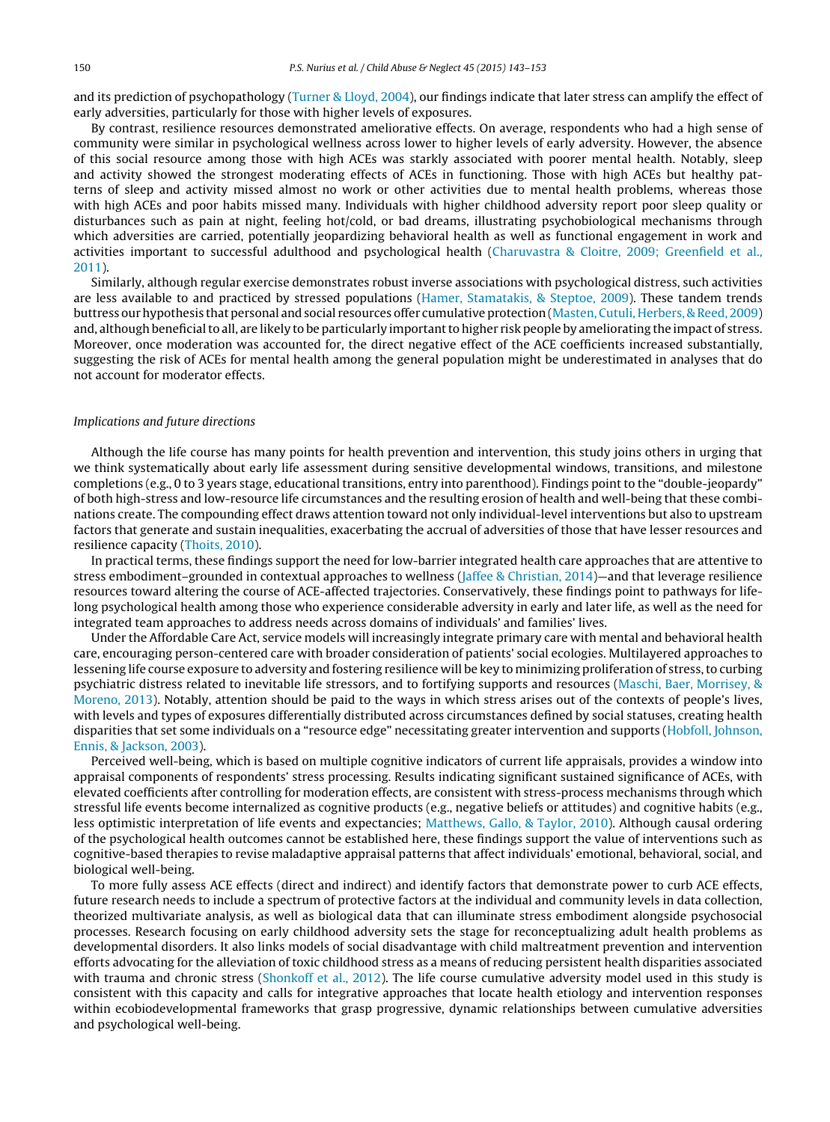and its prediction of psychopathology [\(Turner](#page-10-0) [&](#page-10-0) [Lloyd,](#page-10-0) [2004\),](#page-10-0) our findings indicate that later stress can amplify the effect of early adversities, particularly for those with higher levels of exposures.

By contrast, resilience resources demonstrated ameliorative effects. On average, respondents who had a high sense of community were similar in psychological wellness across lower to higher levels of early adversity. However, the absence of this social resource among those with high ACEs was starkly associated with poorer mental health. Notably, sleep and activity showed the strongest moderating effects of ACEs in functioning. Those with high ACEs but healthy patterns of sleep and activity missed almost no work or other activities due to mental health problems, whereas those with high ACEs and poor habits missed many. Individuals with higher childhood adversity report poor sleep quality or disturbances such as pain at night, feeling hot/cold, or bad dreams, illustrating psychobiological mechanisms through which adversities are carried, potentially jeopardizing behavioral health as well as functional engagement in work and activities important to successful adulthood and psychological health ([Charuvastra](#page-9-0) [&](#page-9-0) [Cloitre,](#page-9-0) [2009;](#page-9-0) [Greenfield](#page-9-0) et [al.,](#page-9-0) [2011\).](#page-9-0)

Similarly, although regular exercise demonstrates robust inverse associations with psychological distress, such activities are less available to and practiced by stressed populations ([Hamer,](#page-9-0) [Stamatakis,](#page-9-0) [&](#page-9-0) [Steptoe,](#page-9-0) [2009\).](#page-9-0) These tandem trends buttress our hypothesis that personal and social resources offer cumulative protection [\(Masten,](#page-9-0) [Cutuli,](#page-9-0) [Herbers,](#page-9-0) [&](#page-9-0) [Reed,](#page-9-0) [2009\)](#page-9-0) and, although beneficial to all, are likely to be particularly important to higher risk people by ameliorating the impact of stress. Moreover, once moderation was accounted for, the direct negative effect of the ACE coefficients increased substantially, suggesting the risk of ACEs for mental health among the general population might be underestimated in analyses that do not account for moderator effects.

#### Implications and future directions

Although the life course has many points for health prevention and intervention, this study joins others in urging that we think systematically about early life assessment during sensitive developmental windows, transitions, and milestone completions (e.g., 0 to 3 years stage, educational transitions, entry into parenthood). Findings point to the "double-jeopardy" of both high-stress and low-resource life circumstances and the resulting erosion of health and well-being that these combinations create. The compounding effect draws attention toward not only individual-level interventions but also to upstream factors that generate and sustain inequalities, exacerbating the accrual of adversities of those that have lesser resources and resilience capacity ([Thoits,](#page-10-0) [2010\).](#page-10-0)

In practical terms, these findings support the need for low-barrier integrated health care approaches that are attentive to stress embodiment–grounded in contextual approaches to wellness [\(Jaffee](#page-9-0) [&](#page-9-0) [Christian,](#page-9-0) [2014\)—](#page-9-0)and that leverage resilience resources toward altering the course of ACE-affected trajectories. Conservatively, these findings point to pathways for lifelong psychological health among those who experience considerable adversity in early and later life, as well as the need for integrated team approaches to address needs across domains of individuals' and families' lives.

Under the Affordable Care Act, service models will increasingly integrate primary care with mental and behavioral health care, encouraging person-centered care with broader consideration of patients' social ecologies. Multilayered approaches to lessening life course exposure to adversity and fostering resilience will be key to minimizing proliferation of stress, to curbing psychiatric distress related to inevitable life stressors, and to fortifying supports and resources ([Maschi,](#page-9-0) [Baer,](#page-9-0) [Morrisey,](#page-9-0) [&](#page-9-0) [Moreno,](#page-9-0) [2013\).](#page-9-0) Notably, attention should be paid to the ways in which stress arises out of the contexts of people's lives, with levels and types of exposures differentially distributed across circumstances defined by social statuses, creating health disparities that set some individuals on a "resource edge" necessitating greater intervention and supports [\(Hobfoll,](#page-9-0) [Johnson,](#page-9-0) [Ennis,](#page-9-0) [&](#page-9-0) [Jackson,](#page-9-0) [2003\).](#page-9-0)

Perceived well-being, which is based on multiple cognitive indicators of current life appraisals, provides a window into appraisal components of respondents' stress processing. Results indicating significant sustained significance of ACEs, with elevated coefficients after controlling for moderation effects, are consistent with stress-process mechanisms through which stressful life events become internalized as cognitive products (e.g., negative beliefs or attitudes) and cognitive habits (e.g., less optimistic interpretation of life events and expectancies; [Matthews,](#page-9-0) [Gallo,](#page-9-0) [&](#page-9-0) [Taylor,](#page-9-0) [2010\).](#page-9-0) Although causal ordering of the psychological health outcomes cannot be established here, these findings support the value of interventions such as cognitive-based therapies to revise maladaptive appraisal patterns that affect individuals' emotional, behavioral, social, and biological well-being.

To more fully assess ACE effects (direct and indirect) and identify factors that demonstrate power to curb ACE effects, future research needs to include a spectrum of protective factors at the individual and community levels in data collection, theorized multivariate analysis, as well as biological data that can illuminate stress embodiment alongside psychosocial processes. Research focusing on early childhood adversity sets the stage for reconceptualizing adult health problems as developmental disorders. It also links models of social disadvantage with child maltreatment prevention and intervention efforts advocating for the alleviation of toxic childhood stress as a means of reducing persistent health disparities associated with trauma and chronic stress [\(Shonkoff](#page-10-0) et [al.,](#page-10-0) [2012\).](#page-10-0) The life course cumulative adversity model used in this study is consistent with this capacity and calls for integrative approaches that locate health etiology and intervention responses within ecobiodevelopmental frameworks that grasp progressive, dynamic relationships between cumulative adversities and psychological well-being.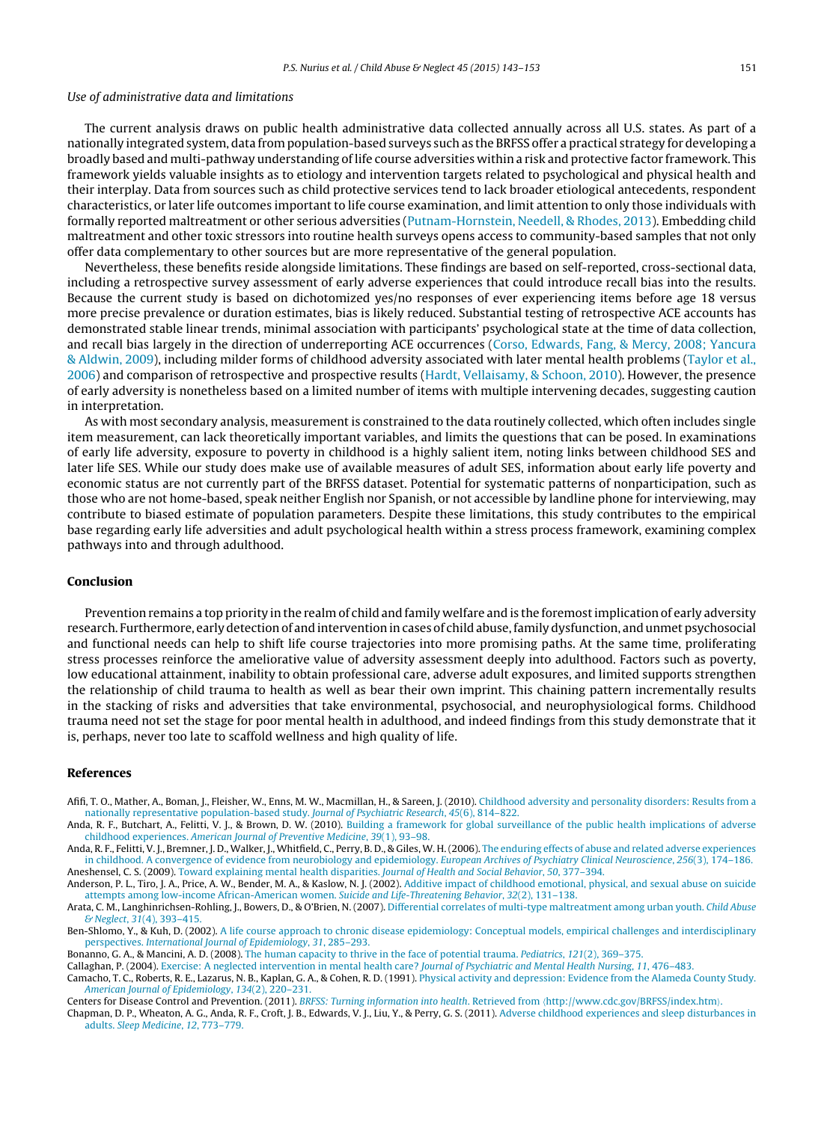#### <span id="page-8-0"></span>Use of administrative data and limitations

The current analysis draws on public health administrative data collected annually across all U.S. states. As part of a nationally integrated system, data from population-based surveys such as the BRFSS offer a practical strategy for developing a broadly based and multi-pathway understanding of life course adversities within a risk and protective factor framework. This framework yields valuable insights as to etiology and intervention targets related to psychological and physical health and their interplay. Data from sources such as child protective services tend to lack broader etiological antecedents, respondent characteristics, or later life outcomes important to life course examination, and limit attention to only those individuals with formally reported maltreatment or other serious adversities [\(Putnam-Hornstein,](#page-10-0) [Needell,](#page-10-0) [&](#page-10-0) [Rhodes,](#page-10-0) [2013\).](#page-10-0) Embedding child maltreatment and other toxic stressors into routine health surveys opens access to community-based samples that not only offer data complementary to other sources but are more representative of the general population.

Nevertheless, these benefits reside alongside limitations. These findings are based on self-reported, cross-sectional data, including a retrospective survey assessment of early adverse experiences that could introduce recall bias into the results. Because the current study is based on dichotomized yes/no responses of ever experiencing items before age 18 versus more precise prevalence or duration estimates, bias is likely reduced. Substantial testing of retrospective ACE accounts has demonstrated stable linear trends, minimal association with participants' psychological state at the time of data collection, and recall bias largely in the direction of underreporting ACE occurrences [\(Corso,](#page-9-0) [Edwards,](#page-9-0) [Fang,](#page-9-0) [&](#page-9-0) [Mercy,](#page-9-0) [2008;](#page-9-0) [Yancura](#page-9-0) [&](#page-9-0) [Aldwin,](#page-9-0) [2009\),](#page-9-0) including milder forms of childhood adversity associated with later mental health problems ([Taylor](#page-10-0) et [al.,](#page-10-0) [2006\)](#page-10-0) and comparison of retrospective and prospective results [\(Hardt,](#page-9-0) [Vellaisamy,](#page-9-0) [&](#page-9-0) [Schoon,](#page-9-0) [2010\).](#page-9-0) However, the presence of early adversity is nonetheless based on a limited number of items with multiple intervening decades, suggesting caution in interpretation.

As with most secondary analysis, measurement is constrained to the data routinely collected, which often includes single item measurement, can lack theoretically important variables, and limits the questions that can be posed. In examinations of early life adversity, exposure to poverty in childhood is a highly salient item, noting links between childhood SES and later life SES. While our study does make use of available measures of adult SES, information about early life poverty and economic status are not currently part of the BRFSS dataset. Potential for systematic patterns of nonparticipation, such as those who are not home-based, speak neither English nor Spanish, or not accessible by landline phone for interviewing, may contribute to biased estimate of population parameters. Despite these limitations, this study contributes to the empirical base regarding early life adversities and adult psychological health within a stress process framework, examining complex pathways into and through adulthood.

#### **Conclusion**

Prevention remains a top priority in the realm of child and family welfare and is the foremostimplication of early adversity research. Furthermore, early detection of and intervention in cases of child abuse, family dysfunction, and unmet psychosocial and functional needs can help to shift life course trajectories into more promising paths. At the same time, proliferating stress processes reinforce the ameliorative value of adversity assessment deeply into adulthood. Factors such as poverty, low educational attainment, inability to obtain professional care, adverse adult exposures, and limited supports strengthen the relationship of child trauma to health as well as bear their own imprint. This chaining pattern incrementally results in the stacking of risks and adversities that take environmental, psychosocial, and neurophysiological forms. Childhood trauma need not set the stage for poor mental health in adulthood, and indeed findings from this study demonstrate that it is, perhaps, never too late to scaffold wellness and high quality of life.

#### **References**

- Afifi, T. O., Mather, A., Boman, J., Fleisher, W., Enns, M. W., Macmillan, H., & Sareen, J. (2010). [Childhood](http://refhub.elsevier.com/S0145-2134(15)00092-7/sbref0005) [adversity](http://refhub.elsevier.com/S0145-2134(15)00092-7/sbref0005) [and](http://refhub.elsevier.com/S0145-2134(15)00092-7/sbref0005) [personality](http://refhub.elsevier.com/S0145-2134(15)00092-7/sbref0005) [disorders:](http://refhub.elsevier.com/S0145-2134(15)00092-7/sbref0005) [Results](http://refhub.elsevier.com/S0145-2134(15)00092-7/sbref0005) [from](http://refhub.elsevier.com/S0145-2134(15)00092-7/sbref0005) [a](http://refhub.elsevier.com/S0145-2134(15)00092-7/sbref0005) [nationally](http://refhub.elsevier.com/S0145-2134(15)00092-7/sbref0005) [representative](http://refhub.elsevier.com/S0145-2134(15)00092-7/sbref0005) [population-based](http://refhub.elsevier.com/S0145-2134(15)00092-7/sbref0005) [study.](http://refhub.elsevier.com/S0145-2134(15)00092-7/sbref0005) [Journal](http://refhub.elsevier.com/S0145-2134(15)00092-7/sbref0005) [of](http://refhub.elsevier.com/S0145-2134(15)00092-7/sbref0010) [Psychiatric](http://refhub.elsevier.com/S0145-2134(15)00092-7/sbref0005) [Research](http://refhub.elsevier.com/S0145-2134(15)00092-7/sbref0005)[,](http://refhub.elsevier.com/S0145-2134(15)00092-7/sbref0005) [45](http://refhub.elsevier.com/S0145-2134(15)00092-7/sbref0005)[\(6\),](http://refhub.elsevier.com/S0145-2134(15)00092-7/sbref0005) [814](http://refhub.elsevier.com/S0145-2134(15)00092-7/sbref0005)–[822.](http://refhub.elsevier.com/S0145-2134(15)00092-7/sbref0005)<br>Anda, R. F., Butchart, A., Felitti, V. J., & Brown, D. W. (2010). [Building](http://refhub.elsevier.com/S0145-2134(15)00092-7/sbref0010) [a](http://refhub.elsevier.com/S0145-2134(15)00092-7/sbref0010) [framework](http://refhub.elsevier.com/S0145-2134(15)00092-7/sbref0010) [for](http://refhub.elsevier.com/S0145-2134(15)00092-7/sbref0010) [global](http://refhub.elsevier.com/S0145-2134(15)00092-7/sbref0010) [surveillance](http://refhub.elsevier.com/S0145-2134(15)00092-7/sbref0010) of [the](http://refhub.elsevier.com/S0145-2134(15)00092-7/sbref0010) publi
- [childhood](http://refhub.elsevier.com/S0145-2134(15)00092-7/sbref0010) [experiences.](http://refhub.elsevier.com/S0145-2134(15)00092-7/sbref0010) [American](http://refhub.elsevier.com/S0145-2134(15)00092-7/sbref0010) [Journal](http://refhub.elsevier.com/S0145-2134(15)00092-7/sbref0010) [of](http://refhub.elsevier.com/S0145-2134(15)00092-7/sbref0010) [Preventive](http://refhub.elsevier.com/S0145-2134(15)00092-7/sbref0010) [Medicine](http://refhub.elsevier.com/S0145-2134(15)00092-7/sbref0010), [39](http://refhub.elsevier.com/S0145-2134(15)00092-7/sbref0010)[\(1\),](http://refhub.elsevier.com/S0145-2134(15)00092-7/sbref0010) [93–98.](http://refhub.elsevier.com/S0145-2134(15)00092-7/sbref0010)

Anda, R. F., Felitti, V. J., Bremner, J. D., Walker, J., Whitfield, C., Perry, B. D., & Giles, W. H.(2006). [The](http://refhub.elsevier.com/S0145-2134(15)00092-7/sbref0015) [enduring](http://refhub.elsevier.com/S0145-2134(15)00092-7/sbref0015) [effects](http://refhub.elsevier.com/S0145-2134(15)00092-7/sbref0015) [of](http://refhub.elsevier.com/S0145-2134(15)00092-7/sbref0015) [abuse](http://refhub.elsevier.com/S0145-2134(15)00092-7/sbref0015) [and](http://refhub.elsevier.com/S0145-2134(15)00092-7/sbref0015) [related](http://refhub.elsevier.com/S0145-2134(15)00092-7/sbref0015) [adverse](http://refhub.elsevier.com/S0145-2134(15)00092-7/sbref0015) [experiences](http://refhub.elsevier.com/S0145-2134(15)00092-7/sbref0015) [in](http://refhub.elsevier.com/S0145-2134(15)00092-7/sbref0015) [childhood.](http://refhub.elsevier.com/S0145-2134(15)00092-7/sbref0015) [A](http://refhub.elsevier.com/S0145-2134(15)00092-7/sbref0015) [convergence](http://refhub.elsevier.com/S0145-2134(15)00092-7/sbref0015) [of](http://refhub.elsevier.com/S0145-2134(15)00092-7/sbref0015) [evidence](http://refhub.elsevier.com/S0145-2134(15)00092-7/sbref0015) [from](http://refhub.elsevier.com/S0145-2134(15)00092-7/sbref0015) [neurobiology](http://refhub.elsevier.com/S0145-2134(15)00092-7/sbref0015) [and](http://refhub.elsevier.com/S0145-2134(15)00092-7/sbref0015) [epidemiology.](http://refhub.elsevier.com/S0145-2134(15)00092-7/sbref0015) [European](http://refhub.elsevier.com/S0145-2134(15)00092-7/sbref0015) [Archives](http://refhub.elsevier.com/S0145-2134(15)00092-7/sbref0015) [of](http://refhub.elsevier.com/S0145-2134(15)00092-7/sbref0015) [Psychiatry](http://refhub.elsevier.com/S0145-2134(15)00092-7/sbref0015) [Clinical](http://refhub.elsevier.com/S0145-2134(15)00092-7/sbref0015) [Neuroscience](http://refhub.elsevier.com/S0145-2134(15)00092-7/sbref0015)[,](http://refhub.elsevier.com/S0145-2134(15)00092-7/sbref0015) [256](http://refhub.elsevier.com/S0145-2134(15)00092-7/sbref0015)[\(3\),](http://refhub.elsevier.com/S0145-2134(15)00092-7/sbref0015) [174](http://refhub.elsevier.com/S0145-2134(15)00092-7/sbref0015)–[186.](http://refhub.elsevier.com/S0145-2134(15)00092-7/sbref0015) Aneshensel, C. S. (2009). [Toward](http://refhub.elsevier.com/S0145-2134(15)00092-7/sbref0020) [explaining](http://refhub.elsevier.com/S0145-2134(15)00092-7/sbref0020) [mental](http://refhub.elsevier.com/S0145-2134(15)00092-7/sbref0020) [health](http://refhub.elsevier.com/S0145-2134(15)00092-7/sbref0020) [disparities.](http://refhub.elsevier.com/S0145-2134(15)00092-7/sbref0020) [Journal](http://refhub.elsevier.com/S0145-2134(15)00092-7/sbref0020) [of](http://refhub.elsevier.com/S0145-2134(15)00092-7/sbref0020) [Health](http://refhub.elsevier.com/S0145-2134(15)00092-7/sbref0020) [and](http://refhub.elsevier.com/S0145-2134(15)00092-7/sbref0020) [Social](http://refhub.elsevier.com/S0145-2134(15)00092-7/sbref0020) [Behavior](http://refhub.elsevier.com/S0145-2134(15)00092-7/sbref0020)[,](http://refhub.elsevier.com/S0145-2134(15)00092-7/sbref0020) [50](http://refhub.elsevier.com/S0145-2134(15)00092-7/sbref0020)[,](http://refhub.elsevier.com/S0145-2134(15)00092-7/sbref0020) [377](http://refhub.elsevier.com/S0145-2134(15)00092-7/sbref0020)–[394.](http://refhub.elsevier.com/S0145-2134(15)00092-7/sbref0020)

Anderson, P. L., Tiro, J. A., Price, A. W., Bender, M. A., & Kaslow, N. J. (2002). [Additive](http://refhub.elsevier.com/S0145-2134(15)00092-7/sbref0025) [impact](http://refhub.elsevier.com/S0145-2134(15)00092-7/sbref0025) [of](http://refhub.elsevier.com/S0145-2134(15)00092-7/sbref0025) [childhood](http://refhub.elsevier.com/S0145-2134(15)00092-7/sbref0025) [emotional,](http://refhub.elsevier.com/S0145-2134(15)00092-7/sbref0025) [physical,](http://refhub.elsevier.com/S0145-2134(15)00092-7/sbref0025) [and](http://refhub.elsevier.com/S0145-2134(15)00092-7/sbref0025) [sexual](http://refhub.elsevier.com/S0145-2134(15)00092-7/sbref0025) [abuse](http://refhub.elsevier.com/S0145-2134(15)00092-7/sbref0025) [on](http://refhub.elsevier.com/S0145-2134(15)00092-7/sbref0025) [suicide](http://refhub.elsevier.com/S0145-2134(15)00092-7/sbref0025) [attempts](http://refhub.elsevier.com/S0145-2134(15)00092-7/sbref0025) [among](http://refhub.elsevier.com/S0145-2134(15)00092-7/sbref0025) [low-income](http://refhub.elsevier.com/S0145-2134(15)00092-7/sbref0025) [African-American](http://refhub.elsevier.com/S0145-2134(15)00092-7/sbref0025) [women.](http://refhub.elsevier.com/S0145-2134(15)00092-7/sbref0025) [Suicide](http://refhub.elsevier.com/S0145-2134(15)00092-7/sbref0025) [and](http://refhub.elsevier.com/S0145-2134(15)00092-7/sbref0025) [Life-Threatening](http://refhub.elsevier.com/S0145-2134(15)00092-7/sbref0025) [Behavior](http://refhub.elsevier.com/S0145-2134(15)00092-7/sbref0025)[,](http://refhub.elsevier.com/S0145-2134(15)00092-7/sbref0025) [32](http://refhub.elsevier.com/S0145-2134(15)00092-7/sbref0025)[\(2\),](http://refhub.elsevier.com/S0145-2134(15)00092-7/sbref0025) [131](http://refhub.elsevier.com/S0145-2134(15)00092-7/sbref0025)–[138.](http://refhub.elsevier.com/S0145-2134(15)00092-7/sbref0025)

Arata, C. M., Langhinrichsen-Rohling, J., Bowers, D., & O'Brien, N. (2007). [Differential](http://refhub.elsevier.com/S0145-2134(15)00092-7/sbref0030) [correlates](http://refhub.elsevier.com/S0145-2134(15)00092-7/sbref0030) [of](http://refhub.elsevier.com/S0145-2134(15)00092-7/sbref0030) [multi-type](http://refhub.elsevier.com/S0145-2134(15)00092-7/sbref0030) [maltreatment](http://refhub.elsevier.com/S0145-2134(15)00092-7/sbref0030) [among](http://refhub.elsevier.com/S0145-2134(15)00092-7/sbref0030) [urban](http://refhub.elsevier.com/S0145-2134(15)00092-7/sbref0030) [youth.](http://refhub.elsevier.com/S0145-2134(15)00092-7/sbref0030) [Child](http://refhub.elsevier.com/S0145-2134(15)00092-7/sbref0030) [Abuse](http://refhub.elsevier.com/S0145-2134(15)00092-7/sbref0030) [&](http://refhub.elsevier.com/S0145-2134(15)00092-7/sbref0030) [Neglect](http://refhub.elsevier.com/S0145-2134(15)00092-7/sbref0030), [31](http://refhub.elsevier.com/S0145-2134(15)00092-7/sbref0030)[\(4\),](http://refhub.elsevier.com/S0145-2134(15)00092-7/sbref0030) [393–415.](http://refhub.elsevier.com/S0145-2134(15)00092-7/sbref0030)

Ben-Shlomo, Y., & Kuh, D. (2002). [A](http://refhub.elsevier.com/S0145-2134(15)00092-7/sbref0035) [life](http://refhub.elsevier.com/S0145-2134(15)00092-7/sbref0035) [course](http://refhub.elsevier.com/S0145-2134(15)00092-7/sbref0035) [approach](http://refhub.elsevier.com/S0145-2134(15)00092-7/sbref0035) [to](http://refhub.elsevier.com/S0145-2134(15)00092-7/sbref0035) [chronic](http://refhub.elsevier.com/S0145-2134(15)00092-7/sbref0035) [disease](http://refhub.elsevier.com/S0145-2134(15)00092-7/sbref0035) [epidemiology:](http://refhub.elsevier.com/S0145-2134(15)00092-7/sbref0035) [Conceptual](http://refhub.elsevier.com/S0145-2134(15)00092-7/sbref0035) [models,](http://refhub.elsevier.com/S0145-2134(15)00092-7/sbref0035) [empirical](http://refhub.elsevier.com/S0145-2134(15)00092-7/sbref0035) [challenges](http://refhub.elsevier.com/S0145-2134(15)00092-7/sbref0035) [and](http://refhub.elsevier.com/S0145-2134(15)00092-7/sbref0035) [interdisciplinary](http://refhub.elsevier.com/S0145-2134(15)00092-7/sbref0035) [perspectives.](http://refhub.elsevier.com/S0145-2134(15)00092-7/sbref0035) [International](http://refhub.elsevier.com/S0145-2134(15)00092-7/sbref0035) [Journal](http://refhub.elsevier.com/S0145-2134(15)00092-7/sbref0035) [of](http://refhub.elsevier.com/S0145-2134(15)00092-7/sbref0035) [Epidemiology](http://refhub.elsevier.com/S0145-2134(15)00092-7/sbref0035)[,](http://refhub.elsevier.com/S0145-2134(15)00092-7/sbref0035) [31](http://refhub.elsevier.com/S0145-2134(15)00092-7/sbref0035), [285](http://refhub.elsevier.com/S0145-2134(15)00092-7/sbref0035)–[293.](http://refhub.elsevier.com/S0145-2134(15)00092-7/sbref0035)

Bonanno, G. A., & Mancini, A. D. (2008). [The](http://refhub.elsevier.com/S0145-2134(15)00092-7/sbref0040) [human](http://refhub.elsevier.com/S0145-2134(15)00092-7/sbref0040) [capacity](http://refhub.elsevier.com/S0145-2134(15)00092-7/sbref0040) [to](http://refhub.elsevier.com/S0145-2134(15)00092-7/sbref0040) [thrive](http://refhub.elsevier.com/S0145-2134(15)00092-7/sbref0040) [in](http://refhub.elsevier.com/S0145-2134(15)00092-7/sbref0040) [the](http://refhub.elsevier.com/S0145-2134(15)00092-7/sbref0040) [face](http://refhub.elsevier.com/S0145-2134(15)00092-7/sbref0040) [of](http://refhub.elsevier.com/S0145-2134(15)00092-7/sbref0040) [potential](http://refhub.elsevier.com/S0145-2134(15)00092-7/sbref0040) [trauma.](http://refhub.elsevier.com/S0145-2134(15)00092-7/sbref0040) [Pediatrics](http://refhub.elsevier.com/S0145-2134(15)00092-7/sbref0040)[,](http://refhub.elsevier.com/S0145-2134(15)00092-7/sbref0040) [121](http://refhub.elsevier.com/S0145-2134(15)00092-7/sbref0040)[\(2\),](http://refhub.elsevier.com/S0145-2134(15)00092-7/sbref0040) [369](http://refhub.elsevier.com/S0145-2134(15)00092-7/sbref0040)-[375.](http://refhub.elsevier.com/S0145-2134(15)00092-7/sbref0040)

Callaghan, P. (2004). [Exercise:](http://refhub.elsevier.com/S0145-2134(15)00092-7/sbref0045) [A](http://refhub.elsevier.com/S0145-2134(15)00092-7/sbref0045) [neglected](http://refhub.elsevier.com/S0145-2134(15)00092-7/sbref0045) [intervention](http://refhub.elsevier.com/S0145-2134(15)00092-7/sbref0045) [in](http://refhub.elsevier.com/S0145-2134(15)00092-7/sbref0045) [mental](http://refhub.elsevier.com/S0145-2134(15)00092-7/sbref0045) [health](http://refhub.elsevier.com/S0145-2134(15)00092-7/sbref0045) [care?](http://refhub.elsevier.com/S0145-2134(15)00092-7/sbref0045) [Journal](http://refhub.elsevier.com/S0145-2134(15)00092-7/sbref0045) [of](http://refhub.elsevier.com/S0145-2134(15)00092-7/sbref0045) [Psychiatric](http://refhub.elsevier.com/S0145-2134(15)00092-7/sbref0045) [and](http://refhub.elsevier.com/S0145-2134(15)00092-7/sbref0045) [Mental](http://refhub.elsevier.com/S0145-2134(15)00092-7/sbref0045) [Health](http://refhub.elsevier.com/S0145-2134(15)00092-7/sbref0045) [Nursing](http://refhub.elsevier.com/S0145-2134(15)00092-7/sbref0045)[,](http://refhub.elsevier.com/S0145-2134(15)00092-7/sbref0045) [11](http://refhub.elsevier.com/S0145-2134(15)00092-7/sbref0045)[,](http://refhub.elsevier.com/S0145-2134(15)00092-7/sbref0045) [476–483.](http://refhub.elsevier.com/S0145-2134(15)00092-7/sbref0045)

Camacho, T. C., Roberts, R. E., Lazarus, N. B., Kaplan, G. A., & Cohen, R. D. (1991). [Physical](http://refhub.elsevier.com/S0145-2134(15)00092-7/sbref0050) [activity](http://refhub.elsevier.com/S0145-2134(15)00092-7/sbref0050) [and](http://refhub.elsevier.com/S0145-2134(15)00092-7/sbref0050) [depression:](http://refhub.elsevier.com/S0145-2134(15)00092-7/sbref0050) [Evidence](http://refhub.elsevier.com/S0145-2134(15)00092-7/sbref0050) [from](http://refhub.elsevier.com/S0145-2134(15)00092-7/sbref0050) [the](http://refhub.elsevier.com/S0145-2134(15)00092-7/sbref0050) [Alameda](http://refhub.elsevier.com/S0145-2134(15)00092-7/sbref0050) [County](http://refhub.elsevier.com/S0145-2134(15)00092-7/sbref0050) [Study.](http://refhub.elsevier.com/S0145-2134(15)00092-7/sbref0050) [American](http://refhub.elsevier.com/S0145-2134(15)00092-7/sbref0050) [Journal](http://refhub.elsevier.com/S0145-2134(15)00092-7/sbref0050) [of](http://refhub.elsevier.com/S0145-2134(15)00092-7/sbref0050) [Epidemiology](http://refhub.elsevier.com/S0145-2134(15)00092-7/sbref0050)[,](http://refhub.elsevier.com/S0145-2134(15)00092-7/sbref0050) [134](http://refhub.elsevier.com/S0145-2134(15)00092-7/sbref0050)[\(2\),](http://refhub.elsevier.com/S0145-2134(15)00092-7/sbref0050) [220–231.](http://refhub.elsevier.com/S0145-2134(15)00092-7/sbref0050)

Centers for Disease Control and Prevention. (2011). [BRFSS:](http://refhub.elsevier.com/S0145-2134(15)00092-7/sbref0055) [Turning](http://refhub.elsevier.com/S0145-2134(15)00092-7/sbref0055) [information](http://refhub.elsevier.com/S0145-2134(15)00092-7/sbref0055) [into](http://refhub.elsevier.com/S0145-2134(15)00092-7/sbref0055) [health](http://refhub.elsevier.com/S0145-2134(15)00092-7/sbref0055). [Retrieved](http://refhub.elsevier.com/S0145-2134(15)00092-7/sbref0055) [from](http://refhub.elsevier.com/S0145-2134(15)00092-7/sbref0055) [http://www.cdc.gov/BRFSS/index.htm](http://refhub.elsevier.com/S0145-2134(15)00092-7/sbref0055).

Chapman, D. P., Wheaton, A. G., Anda, R. F., Croft, J. B., Edwards, V. J., Liu, Y., & Perry, G. S. (2011). [Adverse](http://refhub.elsevier.com/S0145-2134(15)00092-7/sbref0060) [childhood](http://refhub.elsevier.com/S0145-2134(15)00092-7/sbref0060) [experiences](http://refhub.elsevier.com/S0145-2134(15)00092-7/sbref0060) [and](http://refhub.elsevier.com/S0145-2134(15)00092-7/sbref0060) [sleep](http://refhub.elsevier.com/S0145-2134(15)00092-7/sbref0060) [disturbances](http://refhub.elsevier.com/S0145-2134(15)00092-7/sbref0060) [in](http://refhub.elsevier.com/S0145-2134(15)00092-7/sbref0060) [adults.](http://refhub.elsevier.com/S0145-2134(15)00092-7/sbref0060) [Sleep](http://refhub.elsevier.com/S0145-2134(15)00092-7/sbref0060) [Medicine](http://refhub.elsevier.com/S0145-2134(15)00092-7/sbref0060), [12](http://refhub.elsevier.com/S0145-2134(15)00092-7/sbref0060)[,](http://refhub.elsevier.com/S0145-2134(15)00092-7/sbref0060) [773–779.](http://refhub.elsevier.com/S0145-2134(15)00092-7/sbref0060)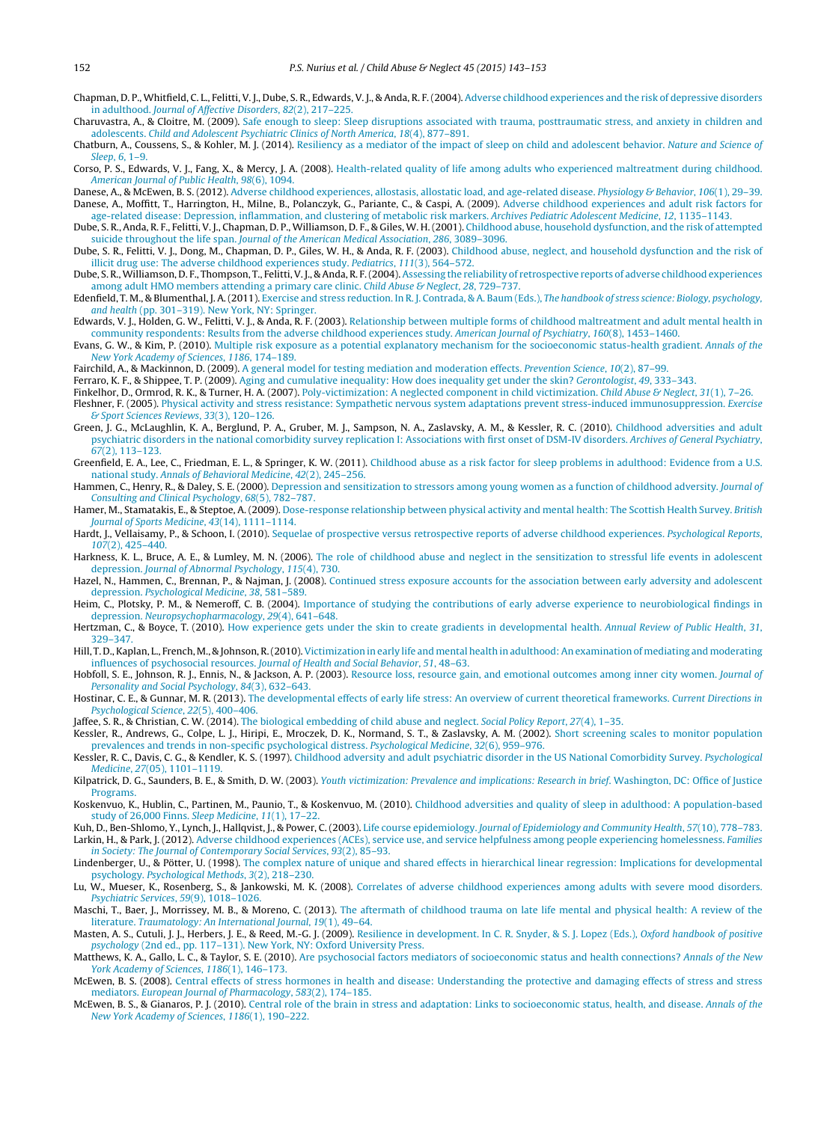<span id="page-9-0"></span>Chapman, D. P., Whitfield, C. L., Felitti, V. J., Dube, S. R., Edwards, V. J., & Anda, R. F. (2004). [Adverse](http://refhub.elsevier.com/S0145-2134(15)00092-7/sbref0065) [childhood](http://refhub.elsevier.com/S0145-2134(15)00092-7/sbref0065) [experiences](http://refhub.elsevier.com/S0145-2134(15)00092-7/sbref0065) [and](http://refhub.elsevier.com/S0145-2134(15)00092-7/sbref0065) [the](http://refhub.elsevier.com/S0145-2134(15)00092-7/sbref0065) [risk](http://refhub.elsevier.com/S0145-2134(15)00092-7/sbref0065) [of](http://refhub.elsevier.com/S0145-2134(15)00092-7/sbref0065) [depressive](http://refhub.elsevier.com/S0145-2134(15)00092-7/sbref0065) [disorders](http://refhub.elsevier.com/S0145-2134(15)00092-7/sbref0065) [in](http://refhub.elsevier.com/S0145-2134(15)00092-7/sbref0065) [adulthood.](http://refhub.elsevier.com/S0145-2134(15)00092-7/sbref0065) [Journal](http://refhub.elsevier.com/S0145-2134(15)00092-7/sbref0065) [of](http://refhub.elsevier.com/S0145-2134(15)00092-7/sbref0065) [Affective](http://refhub.elsevier.com/S0145-2134(15)00092-7/sbref0065) [Disorders](http://refhub.elsevier.com/S0145-2134(15)00092-7/sbref0065)[,](http://refhub.elsevier.com/S0145-2134(15)00092-7/sbref0065) [82](http://refhub.elsevier.com/S0145-2134(15)00092-7/sbref0065)[\(2\),](http://refhub.elsevier.com/S0145-2134(15)00092-7/sbref0065) [217](http://refhub.elsevier.com/S0145-2134(15)00092-7/sbref0065)–[225.](http://refhub.elsevier.com/S0145-2134(15)00092-7/sbref0065)

Charuvastra, A., & Cloitre, M. (2009). [Safe](http://refhub.elsevier.com/S0145-2134(15)00092-7/sbref0070) [enough](http://refhub.elsevier.com/S0145-2134(15)00092-7/sbref0070) [to](http://refhub.elsevier.com/S0145-2134(15)00092-7/sbref0070) [sleep:](http://refhub.elsevier.com/S0145-2134(15)00092-7/sbref0070) [Sleep](http://refhub.elsevier.com/S0145-2134(15)00092-7/sbref0070) [disruptions](http://refhub.elsevier.com/S0145-2134(15)00092-7/sbref0070) [associated](http://refhub.elsevier.com/S0145-2134(15)00092-7/sbref0070) [with](http://refhub.elsevier.com/S0145-2134(15)00092-7/sbref0070) [trauma,](http://refhub.elsevier.com/S0145-2134(15)00092-7/sbref0070) [posttraumatic](http://refhub.elsevier.com/S0145-2134(15)00092-7/sbref0070) [stress,](http://refhub.elsevier.com/S0145-2134(15)00092-7/sbref0070) [and](http://refhub.elsevier.com/S0145-2134(15)00092-7/sbref0070) [anxiety](http://refhub.elsevier.com/S0145-2134(15)00092-7/sbref0070) [in](http://refhub.elsevier.com/S0145-2134(15)00092-7/sbref0070) [children](http://refhub.elsevier.com/S0145-2134(15)00092-7/sbref0070) [and](http://refhub.elsevier.com/S0145-2134(15)00092-7/sbref0070) [adolescents.](http://refhub.elsevier.com/S0145-2134(15)00092-7/sbref0070) [Child](http://refhub.elsevier.com/S0145-2134(15)00092-7/sbref0070) [and](http://refhub.elsevier.com/S0145-2134(15)00092-7/sbref0070) [Adolescent](http://refhub.elsevier.com/S0145-2134(15)00092-7/sbref0070) [Psychiatric](http://refhub.elsevier.com/S0145-2134(15)00092-7/sbref0070) [Clinics](http://refhub.elsevier.com/S0145-2134(15)00092-7/sbref0070) [of](http://refhub.elsevier.com/S0145-2134(15)00092-7/sbref0070) [North](http://refhub.elsevier.com/S0145-2134(15)00092-7/sbref0070) [America](http://refhub.elsevier.com/S0145-2134(15)00092-7/sbref0070)[,](http://refhub.elsevier.com/S0145-2134(15)00092-7/sbref0070) [18](http://refhub.elsevier.com/S0145-2134(15)00092-7/sbref0070)[\(4\),](http://refhub.elsevier.com/S0145-2134(15)00092-7/sbref0070) [877](http://refhub.elsevier.com/S0145-2134(15)00092-7/sbref0070)–[891.](http://refhub.elsevier.com/S0145-2134(15)00092-7/sbref0070)

Chatburn, A., Coussens, S., & Kohler, M. J. (2014). [Resiliency](http://refhub.elsevier.com/S0145-2134(15)00092-7/sbref0075) [as](http://refhub.elsevier.com/S0145-2134(15)00092-7/sbref0075) [a](http://refhub.elsevier.com/S0145-2134(15)00092-7/sbref0075) [mediator](http://refhub.elsevier.com/S0145-2134(15)00092-7/sbref0075) [of](http://refhub.elsevier.com/S0145-2134(15)00092-7/sbref0075) [the](http://refhub.elsevier.com/S0145-2134(15)00092-7/sbref0075) [impact](http://refhub.elsevier.com/S0145-2134(15)00092-7/sbref0075) [of](http://refhub.elsevier.com/S0145-2134(15)00092-7/sbref0075) [sleep](http://refhub.elsevier.com/S0145-2134(15)00092-7/sbref0075) [on](http://refhub.elsevier.com/S0145-2134(15)00092-7/sbref0075) [child](http://refhub.elsevier.com/S0145-2134(15)00092-7/sbref0075) [and](http://refhub.elsevier.com/S0145-2134(15)00092-7/sbref0075) [adolescent](http://refhub.elsevier.com/S0145-2134(15)00092-7/sbref0075) [behavior.](http://refhub.elsevier.com/S0145-2134(15)00092-7/sbref0075) [Nature](http://refhub.elsevier.com/S0145-2134(15)00092-7/sbref0075) [and](http://refhub.elsevier.com/S0145-2134(15)00092-7/sbref0075) [Science](http://refhub.elsevier.com/S0145-2134(15)00092-7/sbref0075) [of](http://refhub.elsevier.com/S0145-2134(15)00092-7/sbref0075) [Sleep](http://refhub.elsevier.com/S0145-2134(15)00092-7/sbref0075)[,](http://refhub.elsevier.com/S0145-2134(15)00092-7/sbref0075) [6](http://refhub.elsevier.com/S0145-2134(15)00092-7/sbref0075), [1–9.](http://refhub.elsevier.com/S0145-2134(15)00092-7/sbref0075)

Corso, P. S., Edwards, V. J., Fang, X., & Mercy, J. A. (2008). [Health-related](http://refhub.elsevier.com/S0145-2134(15)00092-7/sbref0080) [quality](http://refhub.elsevier.com/S0145-2134(15)00092-7/sbref0080) [of](http://refhub.elsevier.com/S0145-2134(15)00092-7/sbref0080) [life](http://refhub.elsevier.com/S0145-2134(15)00092-7/sbref0080) [among](http://refhub.elsevier.com/S0145-2134(15)00092-7/sbref0080) [adults](http://refhub.elsevier.com/S0145-2134(15)00092-7/sbref0080) [who](http://refhub.elsevier.com/S0145-2134(15)00092-7/sbref0080) [experienced](http://refhub.elsevier.com/S0145-2134(15)00092-7/sbref0080) [maltreatment](http://refhub.elsevier.com/S0145-2134(15)00092-7/sbref0080) [during](http://refhub.elsevier.com/S0145-2134(15)00092-7/sbref0080) [childhood.](http://refhub.elsevier.com/S0145-2134(15)00092-7/sbref0080) [American](http://refhub.elsevier.com/S0145-2134(15)00092-7/sbref0080) [Journal](http://refhub.elsevier.com/S0145-2134(15)00092-7/sbref0080) [of](http://refhub.elsevier.com/S0145-2134(15)00092-7/sbref0080) [Public](http://refhub.elsevier.com/S0145-2134(15)00092-7/sbref0080) [Health](http://refhub.elsevier.com/S0145-2134(15)00092-7/sbref0080)[,](http://refhub.elsevier.com/S0145-2134(15)00092-7/sbref0080) [98](http://refhub.elsevier.com/S0145-2134(15)00092-7/sbref0080)[\(6\),](http://refhub.elsevier.com/S0145-2134(15)00092-7/sbref0080) [1094.](http://refhub.elsevier.com/S0145-2134(15)00092-7/sbref0080)

Danese, A., & McEwen, B. S. (2012). [Adverse](http://refhub.elsevier.com/S0145-2134(15)00092-7/sbref0085) [childhood](http://refhub.elsevier.com/S0145-2134(15)00092-7/sbref0085) [experiences,](http://refhub.elsevier.com/S0145-2134(15)00092-7/sbref0085) [allostasis,](http://refhub.elsevier.com/S0145-2134(15)00092-7/sbref0085) [allostatic](http://refhub.elsevier.com/S0145-2134(15)00092-7/sbref0085) [load,](http://refhub.elsevier.com/S0145-2134(15)00092-7/sbref0085) [and](http://refhub.elsevier.com/S0145-2134(15)00092-7/sbref0085) [age-related](http://refhub.elsevier.com/S0145-2134(15)00092-7/sbref0085) [disease.](http://refhub.elsevier.com/S0145-2134(15)00092-7/sbref0085) [Physiology](http://refhub.elsevier.com/S0145-2134(15)00092-7/sbref0085) [&](http://refhub.elsevier.com/S0145-2134(15)00092-7/sbref0085) [Behavior](http://refhub.elsevier.com/S0145-2134(15)00092-7/sbref0085)[,](http://refhub.elsevier.com/S0145-2134(15)00092-7/sbref0085) [106](http://refhub.elsevier.com/S0145-2134(15)00092-7/sbref0085)[\(1\),](http://refhub.elsevier.com/S0145-2134(15)00092-7/sbref0085) 29-39. Danese, A., Moffitt, T., Harrington, H., Milne, B., Polanczyk, G., Pariante, C., & Caspi, A. (2009). [Adverse](http://refhub.elsevier.com/S0145-2134(15)00092-7/sbref0090) [childhood](http://refhub.elsevier.com/S0145-2134(15)00092-7/sbref0090) [experiences](http://refhub.elsevier.com/S0145-2134(15)00092-7/sbref0090) [and](http://refhub.elsevier.com/S0145-2134(15)00092-7/sbref0090) [adult](http://refhub.elsevier.com/S0145-2134(15)00092-7/sbref0090) [risk](http://refhub.elsevier.com/S0145-2134(15)00092-7/sbref0090) [factors](http://refhub.elsevier.com/S0145-2134(15)00092-7/sbref0090) [for](http://refhub.elsevier.com/S0145-2134(15)00092-7/sbref0090)

[age-related](http://refhub.elsevier.com/S0145-2134(15)00092-7/sbref0090) [disease:](http://refhub.elsevier.com/S0145-2134(15)00092-7/sbref0090) [Depression,](http://refhub.elsevier.com/S0145-2134(15)00092-7/sbref0090) [inflammation,](http://refhub.elsevier.com/S0145-2134(15)00092-7/sbref0090) [and](http://refhub.elsevier.com/S0145-2134(15)00092-7/sbref0090) [clustering](http://refhub.elsevier.com/S0145-2134(15)00092-7/sbref0090) [of](http://refhub.elsevier.com/S0145-2134(15)00092-7/sbref0090) [metabolic](http://refhub.elsevier.com/S0145-2134(15)00092-7/sbref0090) [risk](http://refhub.elsevier.com/S0145-2134(15)00092-7/sbref0090) [markers.](http://refhub.elsevier.com/S0145-2134(15)00092-7/sbref0090) [Archives](http://refhub.elsevier.com/S0145-2134(15)00092-7/sbref0090) [Pediatric](http://refhub.elsevier.com/S0145-2134(15)00092-7/sbref0090) [Adolescent](http://refhub.elsevier.com/S0145-2134(15)00092-7/sbref0090) [Medicine](http://refhub.elsevier.com/S0145-2134(15)00092-7/sbref0090)[,](http://refhub.elsevier.com/S0145-2134(15)00092-7/sbref0090) [12](http://refhub.elsevier.com/S0145-2134(15)00092-7/sbref0090)[,](http://refhub.elsevier.com/S0145-2134(15)00092-7/sbref0090) [1135–1143.](http://refhub.elsevier.com/S0145-2134(15)00092-7/sbref0090) Dube, S. R., Anda, R. F., Felitti, V. J., Chapman, D. P., Williamson, D. F., & Giles, W. H.(2001). [Childhood](http://refhub.elsevier.com/S0145-2134(15)00092-7/sbref0095) [abuse,](http://refhub.elsevier.com/S0145-2134(15)00092-7/sbref0095) [household](http://refhub.elsevier.com/S0145-2134(15)00092-7/sbref0095) [dysfunction,](http://refhub.elsevier.com/S0145-2134(15)00092-7/sbref0095) [and](http://refhub.elsevier.com/S0145-2134(15)00092-7/sbref0095) [the](http://refhub.elsevier.com/S0145-2134(15)00092-7/sbref0095) [risk](http://refhub.elsevier.com/S0145-2134(15)00092-7/sbref0095) [of](http://refhub.elsevier.com/S0145-2134(15)00092-7/sbref0095) [attempted](http://refhub.elsevier.com/S0145-2134(15)00092-7/sbref0095) [suicide](http://refhub.elsevier.com/S0145-2134(15)00092-7/sbref0095) [throughout](http://refhub.elsevier.com/S0145-2134(15)00092-7/sbref0095) [the](http://refhub.elsevier.com/S0145-2134(15)00092-7/sbref0095) [life](http://refhub.elsevier.com/S0145-2134(15)00092-7/sbref0095) [span.](http://refhub.elsevier.com/S0145-2134(15)00092-7/sbref0095) [Journal](http://refhub.elsevier.com/S0145-2134(15)00092-7/sbref0095) [of](http://refhub.elsevier.com/S0145-2134(15)00092-7/sbref0095) [the](http://refhub.elsevier.com/S0145-2134(15)00092-7/sbref0095) [American](http://refhub.elsevier.com/S0145-2134(15)00092-7/sbref0095) [Medical](http://refhub.elsevier.com/S0145-2134(15)00092-7/sbref0095) [Association](http://refhub.elsevier.com/S0145-2134(15)00092-7/sbref0095)[,](http://refhub.elsevier.com/S0145-2134(15)00092-7/sbref0095) [286](http://refhub.elsevier.com/S0145-2134(15)00092-7/sbref0095)[,](http://refhub.elsevier.com/S0145-2134(15)00092-7/sbref0095) [3089–3096.](http://refhub.elsevier.com/S0145-2134(15)00092-7/sbref0095)

Dube, S. R., Felitti, V. J., Dong, M., Chapman, D. P., Giles, W. H., & Anda, R. F. (2003). [Childhood](http://refhub.elsevier.com/S0145-2134(15)00092-7/sbref0100) [abuse,](http://refhub.elsevier.com/S0145-2134(15)00092-7/sbref0100) [neglect,](http://refhub.elsevier.com/S0145-2134(15)00092-7/sbref0100) [and](http://refhub.elsevier.com/S0145-2134(15)00092-7/sbref0100) [household](http://refhub.elsevier.com/S0145-2134(15)00092-7/sbref0100) [dysfunction](http://refhub.elsevier.com/S0145-2134(15)00092-7/sbref0100) [and](http://refhub.elsevier.com/S0145-2134(15)00092-7/sbref0100) [the](http://refhub.elsevier.com/S0145-2134(15)00092-7/sbref0100) [risk](http://refhub.elsevier.com/S0145-2134(15)00092-7/sbref0100) [of](http://refhub.elsevier.com/S0145-2134(15)00092-7/sbref0100) [illicit](http://refhub.elsevier.com/S0145-2134(15)00092-7/sbref0100) [drug](http://refhub.elsevier.com/S0145-2134(15)00092-7/sbref0100) [use:](http://refhub.elsevier.com/S0145-2134(15)00092-7/sbref0100) [The](http://refhub.elsevier.com/S0145-2134(15)00092-7/sbref0100) [adverse](http://refhub.elsevier.com/S0145-2134(15)00092-7/sbref0100) [childhood](http://refhub.elsevier.com/S0145-2134(15)00092-7/sbref0100) [experiences](http://refhub.elsevier.com/S0145-2134(15)00092-7/sbref0100) [study.](http://refhub.elsevier.com/S0145-2134(15)00092-7/sbref0100) [Pediatrics](http://refhub.elsevier.com/S0145-2134(15)00092-7/sbref0100)[,](http://refhub.elsevier.com/S0145-2134(15)00092-7/sbref0100) [111](http://refhub.elsevier.com/S0145-2134(15)00092-7/sbref0100)[\(3\),](http://refhub.elsevier.com/S0145-2134(15)00092-7/sbref0100) [564–572.](http://refhub.elsevier.com/S0145-2134(15)00092-7/sbref0100)

Dube, S. R.,Williamson, D. F., Thompson, T., Felitti, V. J., & Anda, R. F.(2004). [Assessing](http://refhub.elsevier.com/S0145-2134(15)00092-7/sbref0105) [the](http://refhub.elsevier.com/S0145-2134(15)00092-7/sbref0105) [reliability](http://refhub.elsevier.com/S0145-2134(15)00092-7/sbref0105) [of](http://refhub.elsevier.com/S0145-2134(15)00092-7/sbref0105) [retrospective](http://refhub.elsevier.com/S0145-2134(15)00092-7/sbref0105) [reports](http://refhub.elsevier.com/S0145-2134(15)00092-7/sbref0105) [of](http://refhub.elsevier.com/S0145-2134(15)00092-7/sbref0105) [adverse](http://refhub.elsevier.com/S0145-2134(15)00092-7/sbref0105) [childhood](http://refhub.elsevier.com/S0145-2134(15)00092-7/sbref0105) [experiences](http://refhub.elsevier.com/S0145-2134(15)00092-7/sbref0105) [among](http://refhub.elsevier.com/S0145-2134(15)00092-7/sbref0105) [adult](http://refhub.elsevier.com/S0145-2134(15)00092-7/sbref0105) [HMO](http://refhub.elsevier.com/S0145-2134(15)00092-7/sbref0105) [members](http://refhub.elsevier.com/S0145-2134(15)00092-7/sbref0105) [attending](http://refhub.elsevier.com/S0145-2134(15)00092-7/sbref0105) [a](http://refhub.elsevier.com/S0145-2134(15)00092-7/sbref0105) [primary](http://refhub.elsevier.com/S0145-2134(15)00092-7/sbref0105) [care](http://refhub.elsevier.com/S0145-2134(15)00092-7/sbref0105) [clinic.](http://refhub.elsevier.com/S0145-2134(15)00092-7/sbref0105) [Child](http://refhub.elsevier.com/S0145-2134(15)00092-7/sbref0105) [Abuse](http://refhub.elsevier.com/S0145-2134(15)00092-7/sbref0105) [&](http://refhub.elsevier.com/S0145-2134(15)00092-7/sbref0105) [Neglect](http://refhub.elsevier.com/S0145-2134(15)00092-7/sbref0105)[,](http://refhub.elsevier.com/S0145-2134(15)00092-7/sbref0105) [28](http://refhub.elsevier.com/S0145-2134(15)00092-7/sbref0105), [729–737.](http://refhub.elsevier.com/S0145-2134(15)00092-7/sbref0105)

Edenfield, T. M., & Blumenthal, J. A. (2011). [Exercise](http://refhub.elsevier.com/S0145-2134(15)00092-7/sbref0110) [and](http://refhub.elsevier.com/S0145-2134(15)00092-7/sbref0110) [stress](http://refhub.elsevier.com/S0145-2134(15)00092-7/sbref0110) [reduction.](http://refhub.elsevier.com/S0145-2134(15)00092-7/sbref0110) [In](http://refhub.elsevier.com/S0145-2134(15)00092-7/sbref0110) [R.](http://refhub.elsevier.com/S0145-2134(15)00092-7/sbref0110) [J.](http://refhub.elsevier.com/S0145-2134(15)00092-7/sbref0110) [Contrada,](http://refhub.elsevier.com/S0145-2134(15)00092-7/sbref0110) [&](http://refhub.elsevier.com/S0145-2134(15)00092-7/sbref0110) [A.](http://refhub.elsevier.com/S0145-2134(15)00092-7/sbref0110) [Baum](http://refhub.elsevier.com/S0145-2134(15)00092-7/sbref0110) [\(Eds.\),](http://refhub.elsevier.com/S0145-2134(15)00092-7/sbref0110) [The](http://refhub.elsevier.com/S0145-2134(15)00092-7/sbref0110) [handbook](http://refhub.elsevier.com/S0145-2134(15)00092-7/sbref0110) [of](http://refhub.elsevier.com/S0145-2134(15)00092-7/sbref0110) stress [science:](http://refhub.elsevier.com/S0145-2134(15)00092-7/sbref0110) [Biology,](http://refhub.elsevier.com/S0145-2134(15)00092-7/sbref0110) [psychology,](http://refhub.elsevier.com/S0145-2134(15)00092-7/sbref0110) [and](http://refhub.elsevier.com/S0145-2134(15)00092-7/sbref0110) [health](http://refhub.elsevier.com/S0145-2134(15)00092-7/sbref0110) [\(pp.](http://refhub.elsevier.com/S0145-2134(15)00092-7/sbref0110) [301–319\).](http://refhub.elsevier.com/S0145-2134(15)00092-7/sbref0110) [New](http://refhub.elsevier.com/S0145-2134(15)00092-7/sbref0110) [York,](http://refhub.elsevier.com/S0145-2134(15)00092-7/sbref0110) [NY:](http://refhub.elsevier.com/S0145-2134(15)00092-7/sbref0110) [Springer.](http://refhub.elsevier.com/S0145-2134(15)00092-7/sbref0110)

Edwards, V. J., Holden, G. W., Felitti, V. J., & Anda, R. F. (2003). [Relationship](http://refhub.elsevier.com/S0145-2134(15)00092-7/sbref0115) [between](http://refhub.elsevier.com/S0145-2134(15)00092-7/sbref0115) [multiple](http://refhub.elsevier.com/S0145-2134(15)00092-7/sbref0115) [forms](http://refhub.elsevier.com/S0145-2134(15)00092-7/sbref0115) [of](http://refhub.elsevier.com/S0145-2134(15)00092-7/sbref0115) [childhood](http://refhub.elsevier.com/S0145-2134(15)00092-7/sbref0115) [maltreatment](http://refhub.elsevier.com/S0145-2134(15)00092-7/sbref0115) [and](http://refhub.elsevier.com/S0145-2134(15)00092-7/sbref0115) [adult](http://refhub.elsevier.com/S0145-2134(15)00092-7/sbref0115) [mental](http://refhub.elsevier.com/S0145-2134(15)00092-7/sbref0115) [health](http://refhub.elsevier.com/S0145-2134(15)00092-7/sbref0115) [in](http://refhub.elsevier.com/S0145-2134(15)00092-7/sbref0115) [community](http://refhub.elsevier.com/S0145-2134(15)00092-7/sbref0115) [respondents:](http://refhub.elsevier.com/S0145-2134(15)00092-7/sbref0115) [Results](http://refhub.elsevier.com/S0145-2134(15)00092-7/sbref0115) [from](http://refhub.elsevier.com/S0145-2134(15)00092-7/sbref0115) [the](http://refhub.elsevier.com/S0145-2134(15)00092-7/sbref0115) [adverse](http://refhub.elsevier.com/S0145-2134(15)00092-7/sbref0115) [childhood](http://refhub.elsevier.com/S0145-2134(15)00092-7/sbref0115) [experiences](http://refhub.elsevier.com/S0145-2134(15)00092-7/sbref0115) [study.](http://refhub.elsevier.com/S0145-2134(15)00092-7/sbref0115) [American](http://refhub.elsevier.com/S0145-2134(15)00092-7/sbref0115) [Journal](http://refhub.elsevier.com/S0145-2134(15)00092-7/sbref0115) [of](http://refhub.elsevier.com/S0145-2134(15)00092-7/sbref0115) [Psychiatry](http://refhub.elsevier.com/S0145-2134(15)00092-7/sbref0115)[,](http://refhub.elsevier.com/S0145-2134(15)00092-7/sbref0115) [160](http://refhub.elsevier.com/S0145-2134(15)00092-7/sbref0115)[\(8\),](http://refhub.elsevier.com/S0145-2134(15)00092-7/sbref0115) [1453](http://refhub.elsevier.com/S0145-2134(15)00092-7/sbref0115)–[1460.](http://refhub.elsevier.com/S0145-2134(15)00092-7/sbref0115)

Evans, G. W., & Kim, P. (2010). [Multiple](http://refhub.elsevier.com/S0145-2134(15)00092-7/sbref0120) [risk](http://refhub.elsevier.com/S0145-2134(15)00092-7/sbref0120) [exposure](http://refhub.elsevier.com/S0145-2134(15)00092-7/sbref0120) [as](http://refhub.elsevier.com/S0145-2134(15)00092-7/sbref0120) [a](http://refhub.elsevier.com/S0145-2134(15)00092-7/sbref0120) [potential](http://refhub.elsevier.com/S0145-2134(15)00092-7/sbref0120) [explanatory](http://refhub.elsevier.com/S0145-2134(15)00092-7/sbref0120) [mechanism](http://refhub.elsevier.com/S0145-2134(15)00092-7/sbref0120) [for](http://refhub.elsevier.com/S0145-2134(15)00092-7/sbref0120) [the](http://refhub.elsevier.com/S0145-2134(15)00092-7/sbref0120) [socioeconomic](http://refhub.elsevier.com/S0145-2134(15)00092-7/sbref0120) [status-health](http://refhub.elsevier.com/S0145-2134(15)00092-7/sbref0120) [gradient.](http://refhub.elsevier.com/S0145-2134(15)00092-7/sbref0120) [Annals](http://refhub.elsevier.com/S0145-2134(15)00092-7/sbref0120) [of](http://refhub.elsevier.com/S0145-2134(15)00092-7/sbref0120) [the](http://refhub.elsevier.com/S0145-2134(15)00092-7/sbref0120) [New](http://refhub.elsevier.com/S0145-2134(15)00092-7/sbref0120) [York](http://refhub.elsevier.com/S0145-2134(15)00092-7/sbref0120) [Academy](http://refhub.elsevier.com/S0145-2134(15)00092-7/sbref0120) [of](http://refhub.elsevier.com/S0145-2134(15)00092-7/sbref0120) [Sciences](http://refhub.elsevier.com/S0145-2134(15)00092-7/sbref0120)[,](http://refhub.elsevier.com/S0145-2134(15)00092-7/sbref0120) [1186](http://refhub.elsevier.com/S0145-2134(15)00092-7/sbref0120)[,](http://refhub.elsevier.com/S0145-2134(15)00092-7/sbref0120) [174](http://refhub.elsevier.com/S0145-2134(15)00092-7/sbref0120)–[189.](http://refhub.elsevier.com/S0145-2134(15)00092-7/sbref0120)

Fairchild, [A](http://refhub.elsevier.com/S0145-2134(15)00092-7/sbref0125)., & Mackinnon, D. (2009). A [general](http://refhub.elsevier.com/S0145-2134(15)00092-7/sbref0125) [model](http://refhub.elsevier.com/S0145-2134(15)00092-7/sbref0125) [for](http://refhub.elsevier.com/S0145-2134(15)00092-7/sbref0125) [testing](http://refhub.elsevier.com/S0145-2134(15)00092-7/sbref0125) [mediation](http://refhub.elsevier.com/S0145-2134(15)00092-7/sbref0125) [and](http://refhub.elsevier.com/S0145-2134(15)00092-7/sbref0125) [moderation](http://refhub.elsevier.com/S0145-2134(15)00092-7/sbref0125) [effects.](http://refhub.elsevier.com/S0145-2134(15)00092-7/sbref0125) [Prevention](http://refhub.elsevier.com/S0145-2134(15)00092-7/sbref0125) [Science](http://refhub.elsevier.com/S0145-2134(15)00092-7/sbref0125)[,](http://refhub.elsevier.com/S0145-2134(15)00092-7/sbref0125) [10](http://refhub.elsevier.com/S0145-2134(15)00092-7/sbref0125)[\(2\),](http://refhub.elsevier.com/S0145-2134(15)00092-7/sbref0125) 87-99.

Ferraro, K. F., & Shippee, T. P. (2009). [Aging](http://refhub.elsevier.com/S0145-2134(15)00092-7/sbref0130) [and](http://refhub.elsevier.com/S0145-2134(15)00092-7/sbref0130) [cumulative](http://refhub.elsevier.com/S0145-2134(15)00092-7/sbref0130) [inequality:](http://refhub.elsevier.com/S0145-2134(15)00092-7/sbref0130) [How](http://refhub.elsevier.com/S0145-2134(15)00092-7/sbref0130) [does](http://refhub.elsevier.com/S0145-2134(15)00092-7/sbref0130) [inequality](http://refhub.elsevier.com/S0145-2134(15)00092-7/sbref0130) [get](http://refhub.elsevier.com/S0145-2134(15)00092-7/sbref0130) [under](http://refhub.elsevier.com/S0145-2134(15)00092-7/sbref0130) [the](http://refhub.elsevier.com/S0145-2134(15)00092-7/sbref0130) [skin?](http://refhub.elsevier.com/S0145-2134(15)00092-7/sbref0130) [Gerontologist](http://refhub.elsevier.com/S0145-2134(15)00092-7/sbref0130)[,](http://refhub.elsevier.com/S0145-2134(15)00092-7/sbref0130) [49](http://refhub.elsevier.com/S0145-2134(15)00092-7/sbref0130), [333](http://refhub.elsevier.com/S0145-2134(15)00092-7/sbref0130)-[343.](http://refhub.elsevier.com/S0145-2134(15)00092-7/sbref0130)

Finkelhor, D., Ormrod, R. K., & Turner, H. A. (2007). [Poly-victimization:](http://refhub.elsevier.com/S0145-2134(15)00092-7/sbref0135) [A](http://refhub.elsevier.com/S0145-2134(15)00092-7/sbref0135) [neglected](http://refhub.elsevier.com/S0145-2134(15)00092-7/sbref0135) [component](http://refhub.elsevier.com/S0145-2134(15)00092-7/sbref0135) [in](http://refhub.elsevier.com/S0145-2134(15)00092-7/sbref0135) [child](http://refhub.elsevier.com/S0145-2134(15)00092-7/sbref0135) [victimization.](http://refhub.elsevier.com/S0145-2134(15)00092-7/sbref0135) [Child](http://refhub.elsevier.com/S0145-2134(15)00092-7/sbref0135) [Abuse](http://refhub.elsevier.com/S0145-2134(15)00092-7/sbref0135) [&](http://refhub.elsevier.com/S0145-2134(15)00092-7/sbref0135) [Neglect](http://refhub.elsevier.com/S0145-2134(15)00092-7/sbref0135)[,](http://refhub.elsevier.com/S0145-2134(15)00092-7/sbref0135) [31](http://refhub.elsevier.com/S0145-2134(15)00092-7/sbref0135)[\(1\),](http://refhub.elsevier.com/S0145-2134(15)00092-7/sbref0135) [7](http://refhub.elsevier.com/S0145-2134(15)00092-7/sbref0135)-[26.](http://refhub.elsevier.com/S0145-2134(15)00092-7/sbref0135)

Fleshner, F. (2005). [Physical](http://refhub.elsevier.com/S0145-2134(15)00092-7/sbref0140) [activity](http://refhub.elsevier.com/S0145-2134(15)00092-7/sbref0140) [and](http://refhub.elsevier.com/S0145-2134(15)00092-7/sbref0140) [stress](http://refhub.elsevier.com/S0145-2134(15)00092-7/sbref0140) [resistance:](http://refhub.elsevier.com/S0145-2134(15)00092-7/sbref0140) [Sympathetic](http://refhub.elsevier.com/S0145-2134(15)00092-7/sbref0140) [nervous](http://refhub.elsevier.com/S0145-2134(15)00092-7/sbref0140) [system](http://refhub.elsevier.com/S0145-2134(15)00092-7/sbref0140) [adaptations](http://refhub.elsevier.com/S0145-2134(15)00092-7/sbref0140) [prevent](http://refhub.elsevier.com/S0145-2134(15)00092-7/sbref0140) [stress-induced](http://refhub.elsevier.com/S0145-2134(15)00092-7/sbref0140) [immunosuppression.](http://refhub.elsevier.com/S0145-2134(15)00092-7/sbref0140) [Exercise](http://refhub.elsevier.com/S0145-2134(15)00092-7/sbref0140) [&](http://refhub.elsevier.com/S0145-2134(15)00092-7/sbref0140) [Sport](http://refhub.elsevier.com/S0145-2134(15)00092-7/sbref0140) [Sciences](http://refhub.elsevier.com/S0145-2134(15)00092-7/sbref0140) [Reviews](http://refhub.elsevier.com/S0145-2134(15)00092-7/sbref0140)[,](http://refhub.elsevier.com/S0145-2134(15)00092-7/sbref0140) [33](http://refhub.elsevier.com/S0145-2134(15)00092-7/sbref0140)[\(3\),](http://refhub.elsevier.com/S0145-2134(15)00092-7/sbref0140) [120](http://refhub.elsevier.com/S0145-2134(15)00092-7/sbref0140)–[126.](http://refhub.elsevier.com/S0145-2134(15)00092-7/sbref0140)

- Green, J. G., McLaughlin, K. A., Berglund, P. A., Gruber, M. J., Sampson, N. A., Zaslavsky, A. M., & Kessler, R. C. (2010). [Childhood](http://refhub.elsevier.com/S0145-2134(15)00092-7/sbref0145) [adversities](http://refhub.elsevier.com/S0145-2134(15)00092-7/sbref0145) [and](http://refhub.elsevier.com/S0145-2134(15)00092-7/sbref0145) [adult](http://refhub.elsevier.com/S0145-2134(15)00092-7/sbref0145) [psychiatric](http://refhub.elsevier.com/S0145-2134(15)00092-7/sbref0145) [disorders](http://refhub.elsevier.com/S0145-2134(15)00092-7/sbref0145) [in](http://refhub.elsevier.com/S0145-2134(15)00092-7/sbref0145) [the](http://refhub.elsevier.com/S0145-2134(15)00092-7/sbref0145) [national](http://refhub.elsevier.com/S0145-2134(15)00092-7/sbref0145) [comorbidity](http://refhub.elsevier.com/S0145-2134(15)00092-7/sbref0145) [survey](http://refhub.elsevier.com/S0145-2134(15)00092-7/sbref0145) [replication](http://refhub.elsevier.com/S0145-2134(15)00092-7/sbref0145) [I:](http://refhub.elsevier.com/S0145-2134(15)00092-7/sbref0145) [Associations](http://refhub.elsevier.com/S0145-2134(15)00092-7/sbref0145) [with](http://refhub.elsevier.com/S0145-2134(15)00092-7/sbref0145) [first](http://refhub.elsevier.com/S0145-2134(15)00092-7/sbref0145) [onset](http://refhub.elsevier.com/S0145-2134(15)00092-7/sbref0145) [of](http://refhub.elsevier.com/S0145-2134(15)00092-7/sbref0145) [DSM-IV](http://refhub.elsevier.com/S0145-2134(15)00092-7/sbref0145) [disorders.](http://refhub.elsevier.com/S0145-2134(15)00092-7/sbref0145) [Archives](http://refhub.elsevier.com/S0145-2134(15)00092-7/sbref0145) [of](http://refhub.elsevier.com/S0145-2134(15)00092-7/sbref0145) [General](http://refhub.elsevier.com/S0145-2134(15)00092-7/sbref0145) [Psychiatry](http://refhub.elsevier.com/S0145-2134(15)00092-7/sbref0145)[,](http://refhub.elsevier.com/S0145-2134(15)00092-7/sbref0145) [67](http://refhub.elsevier.com/S0145-2134(15)00092-7/sbref0145)[\(2\),](http://refhub.elsevier.com/S0145-2134(15)00092-7/sbref0145) [113](http://refhub.elsevier.com/S0145-2134(15)00092-7/sbref0145)–[123.](http://refhub.elsevier.com/S0145-2134(15)00092-7/sbref0145)
- Greenfield, E. A., Lee, C., Friedman, E. L., & Springer, K. W. (2011). [Childhood](http://refhub.elsevier.com/S0145-2134(15)00092-7/sbref0150) [abuse](http://refhub.elsevier.com/S0145-2134(15)00092-7/sbref0150) [as](http://refhub.elsevier.com/S0145-2134(15)00092-7/sbref0150) [a](http://refhub.elsevier.com/S0145-2134(15)00092-7/sbref0150) [risk](http://refhub.elsevier.com/S0145-2134(15)00092-7/sbref0150) [factor](http://refhub.elsevier.com/S0145-2134(15)00092-7/sbref0150) [for](http://refhub.elsevier.com/S0145-2134(15)00092-7/sbref0150) [sleep](http://refhub.elsevier.com/S0145-2134(15)00092-7/sbref0150) [problems](http://refhub.elsevier.com/S0145-2134(15)00092-7/sbref0150) [in](http://refhub.elsevier.com/S0145-2134(15)00092-7/sbref0150) [adulthood:](http://refhub.elsevier.com/S0145-2134(15)00092-7/sbref0150) [Evidence](http://refhub.elsevier.com/S0145-2134(15)00092-7/sbref0150) [from](http://refhub.elsevier.com/S0145-2134(15)00092-7/sbref0150) [a](http://refhub.elsevier.com/S0145-2134(15)00092-7/sbref0150) [U.S.](http://refhub.elsevier.com/S0145-2134(15)00092-7/sbref0150) [national](http://refhub.elsevier.com/S0145-2134(15)00092-7/sbref0150) [study.](http://refhub.elsevier.com/S0145-2134(15)00092-7/sbref0150) [Annals](http://refhub.elsevier.com/S0145-2134(15)00092-7/sbref0150) [of](http://refhub.elsevier.com/S0145-2134(15)00092-7/sbref0150) [Behavioral](http://refhub.elsevier.com/S0145-2134(15)00092-7/sbref0150) [Medicine](http://refhub.elsevier.com/S0145-2134(15)00092-7/sbref0150)[,](http://refhub.elsevier.com/S0145-2134(15)00092-7/sbref0150) [42](http://refhub.elsevier.com/S0145-2134(15)00092-7/sbref0150)[\(2\),](http://refhub.elsevier.com/S0145-2134(15)00092-7/sbref0150) [245](http://refhub.elsevier.com/S0145-2134(15)00092-7/sbref0150)–[256.](http://refhub.elsevier.com/S0145-2134(15)00092-7/sbref0150)

Hammen, C., Henry, R., & Daley, S. E. (2000). [Depression](http://refhub.elsevier.com/S0145-2134(15)00092-7/sbref0155) [and](http://refhub.elsevier.com/S0145-2134(15)00092-7/sbref0155) [sensitization](http://refhub.elsevier.com/S0145-2134(15)00092-7/sbref0155) [to](http://refhub.elsevier.com/S0145-2134(15)00092-7/sbref0155) [stressors](http://refhub.elsevier.com/S0145-2134(15)00092-7/sbref0155) [among](http://refhub.elsevier.com/S0145-2134(15)00092-7/sbref0155) [young](http://refhub.elsevier.com/S0145-2134(15)00092-7/sbref0155) [women](http://refhub.elsevier.com/S0145-2134(15)00092-7/sbref0155) [as](http://refhub.elsevier.com/S0145-2134(15)00092-7/sbref0155) [a](http://refhub.elsevier.com/S0145-2134(15)00092-7/sbref0155) [function](http://refhub.elsevier.com/S0145-2134(15)00092-7/sbref0155) [of](http://refhub.elsevier.com/S0145-2134(15)00092-7/sbref0155) [childhood](http://refhub.elsevier.com/S0145-2134(15)00092-7/sbref0155) [adversity.](http://refhub.elsevier.com/S0145-2134(15)00092-7/sbref0155) [Journal](http://refhub.elsevier.com/S0145-2134(15)00092-7/sbref0155) of [Consulting](http://refhub.elsevier.com/S0145-2134(15)00092-7/sbref0155) [and](http://refhub.elsevier.com/S0145-2134(15)00092-7/sbref0155) [Clinical](http://refhub.elsevier.com/S0145-2134(15)00092-7/sbref0155) [Psychology](http://refhub.elsevier.com/S0145-2134(15)00092-7/sbref0155)[,](http://refhub.elsevier.com/S0145-2134(15)00092-7/sbref0155) [68](http://refhub.elsevier.com/S0145-2134(15)00092-7/sbref0155)[\(5\),](http://refhub.elsevier.com/S0145-2134(15)00092-7/sbref0155) [782](http://refhub.elsevier.com/S0145-2134(15)00092-7/sbref0155)–[787.](http://refhub.elsevier.com/S0145-2134(15)00092-7/sbref0155)

Hamer, M., Stamatakis, E., & Steptoe, A. (2009). [Dose-response](http://refhub.elsevier.com/S0145-2134(15)00092-7/sbref0160) [relationship](http://refhub.elsevier.com/S0145-2134(15)00092-7/sbref0160) [between](http://refhub.elsevier.com/S0145-2134(15)00092-7/sbref0160) [physical](http://refhub.elsevier.com/S0145-2134(15)00092-7/sbref0160) [activity](http://refhub.elsevier.com/S0145-2134(15)00092-7/sbref0160) [and](http://refhub.elsevier.com/S0145-2134(15)00092-7/sbref0160) [mental](http://refhub.elsevier.com/S0145-2134(15)00092-7/sbref0160) [health:](http://refhub.elsevier.com/S0145-2134(15)00092-7/sbref0160) [The](http://refhub.elsevier.com/S0145-2134(15)00092-7/sbref0160) [Scottish](http://refhub.elsevier.com/S0145-2134(15)00092-7/sbref0160) [Health](http://refhub.elsevier.com/S0145-2134(15)00092-7/sbref0160) [Survey.](http://refhub.elsevier.com/S0145-2134(15)00092-7/sbref0160) [British](http://refhub.elsevier.com/S0145-2134(15)00092-7/sbref0160) [Journal](http://refhub.elsevier.com/S0145-2134(15)00092-7/sbref0160) [of](http://refhub.elsevier.com/S0145-2134(15)00092-7/sbref0160) [Sports](http://refhub.elsevier.com/S0145-2134(15)00092-7/sbref0160) [Medicine](http://refhub.elsevier.com/S0145-2134(15)00092-7/sbref0160)[,](http://refhub.elsevier.com/S0145-2134(15)00092-7/sbref0160) [43](http://refhub.elsevier.com/S0145-2134(15)00092-7/sbref0160)[\(14\),](http://refhub.elsevier.com/S0145-2134(15)00092-7/sbref0160) [1111](http://refhub.elsevier.com/S0145-2134(15)00092-7/sbref0160)–[1114.](http://refhub.elsevier.com/S0145-2134(15)00092-7/sbref0160)

Hardt, J., Vellaisamy, P., & Schoon, I. (2010). [Sequelae](http://refhub.elsevier.com/S0145-2134(15)00092-7/sbref0165) [of](http://refhub.elsevier.com/S0145-2134(15)00092-7/sbref0165) [prospective](http://refhub.elsevier.com/S0145-2134(15)00092-7/sbref0165) [versus](http://refhub.elsevier.com/S0145-2134(15)00092-7/sbref0165) [retrospective](http://refhub.elsevier.com/S0145-2134(15)00092-7/sbref0165) [reports](http://refhub.elsevier.com/S0145-2134(15)00092-7/sbref0165) of [adverse](http://refhub.elsevier.com/S0145-2134(15)00092-7/sbref0165) [childhood](http://refhub.elsevier.com/S0145-2134(15)00092-7/sbref0165) [experiences.](http://refhub.elsevier.com/S0145-2134(15)00092-7/sbref0165) [Psychological](http://refhub.elsevier.com/S0145-2134(15)00092-7/sbref0165) [Reports](http://refhub.elsevier.com/S0145-2134(15)00092-7/sbref0165)[,](http://refhub.elsevier.com/S0145-2134(15)00092-7/sbref0165) [107](http://refhub.elsevier.com/S0145-2134(15)00092-7/sbref0165)[\(2\),](http://refhub.elsevier.com/S0145-2134(15)00092-7/sbref0165) [425](http://refhub.elsevier.com/S0145-2134(15)00092-7/sbref0165)–[440.](http://refhub.elsevier.com/S0145-2134(15)00092-7/sbref0165)

Harkness, K. L., Bruce, A. E., & Lumley, M. N. (2006). [The](http://refhub.elsevier.com/S0145-2134(15)00092-7/sbref0170) [role](http://refhub.elsevier.com/S0145-2134(15)00092-7/sbref0170) [of](http://refhub.elsevier.com/S0145-2134(15)00092-7/sbref0170) [childhood](http://refhub.elsevier.com/S0145-2134(15)00092-7/sbref0170) [abuse](http://refhub.elsevier.com/S0145-2134(15)00092-7/sbref0170) [and](http://refhub.elsevier.com/S0145-2134(15)00092-7/sbref0170) [neglect](http://refhub.elsevier.com/S0145-2134(15)00092-7/sbref0170) [in](http://refhub.elsevier.com/S0145-2134(15)00092-7/sbref0170) [the](http://refhub.elsevier.com/S0145-2134(15)00092-7/sbref0170) [sensitization](http://refhub.elsevier.com/S0145-2134(15)00092-7/sbref0170) [to](http://refhub.elsevier.com/S0145-2134(15)00092-7/sbref0170) [stressful](http://refhub.elsevier.com/S0145-2134(15)00092-7/sbref0170) [life](http://refhub.elsevier.com/S0145-2134(15)00092-7/sbref0170) [events](http://refhub.elsevier.com/S0145-2134(15)00092-7/sbref0170) [in](http://refhub.elsevier.com/S0145-2134(15)00092-7/sbref0170) [adolescent](http://refhub.elsevier.com/S0145-2134(15)00092-7/sbref0170) [depression.](http://refhub.elsevier.com/S0145-2134(15)00092-7/sbref0170) [Journal](http://refhub.elsevier.com/S0145-2134(15)00092-7/sbref0170) [of](http://refhub.elsevier.com/S0145-2134(15)00092-7/sbref0170) [Abnormal](http://refhub.elsevier.com/S0145-2134(15)00092-7/sbref0170) [Psychology](http://refhub.elsevier.com/S0145-2134(15)00092-7/sbref0170)[,](http://refhub.elsevier.com/S0145-2134(15)00092-7/sbref0170) [115](http://refhub.elsevier.com/S0145-2134(15)00092-7/sbref0170)[\(4\),](http://refhub.elsevier.com/S0145-2134(15)00092-7/sbref0170) [730.](http://refhub.elsevier.com/S0145-2134(15)00092-7/sbref0170)

Hazel, N., Hammen, C., Brennan, P., & Najman, J. (2008). [Continued](http://refhub.elsevier.com/S0145-2134(15)00092-7/sbref0175) [stress](http://refhub.elsevier.com/S0145-2134(15)00092-7/sbref0175) [exposure](http://refhub.elsevier.com/S0145-2134(15)00092-7/sbref0175) [accounts](http://refhub.elsevier.com/S0145-2134(15)00092-7/sbref0175) [for](http://refhub.elsevier.com/S0145-2134(15)00092-7/sbref0175) [the](http://refhub.elsevier.com/S0145-2134(15)00092-7/sbref0175) [association](http://refhub.elsevier.com/S0145-2134(15)00092-7/sbref0175) [between](http://refhub.elsevier.com/S0145-2134(15)00092-7/sbref0175) [early](http://refhub.elsevier.com/S0145-2134(15)00092-7/sbref0175) [adversity](http://refhub.elsevier.com/S0145-2134(15)00092-7/sbref0175) [and](http://refhub.elsevier.com/S0145-2134(15)00092-7/sbref0175) [adolescent](http://refhub.elsevier.com/S0145-2134(15)00092-7/sbref0175) [depression.](http://refhub.elsevier.com/S0145-2134(15)00092-7/sbref0175) [Psychological](http://refhub.elsevier.com/S0145-2134(15)00092-7/sbref0175) [Medicine](http://refhub.elsevier.com/S0145-2134(15)00092-7/sbref0175)[,](http://refhub.elsevier.com/S0145-2134(15)00092-7/sbref0175) [38](http://refhub.elsevier.com/S0145-2134(15)00092-7/sbref0175)[,](http://refhub.elsevier.com/S0145-2134(15)00092-7/sbref0175) [581–589.](http://refhub.elsevier.com/S0145-2134(15)00092-7/sbref0175)

Heim, C., Plotsky, P. M., & Nemeroff, C. B. (2004). [Importance](http://refhub.elsevier.com/S0145-2134(15)00092-7/sbref0180) [of](http://refhub.elsevier.com/S0145-2134(15)00092-7/sbref0180) [studying](http://refhub.elsevier.com/S0145-2134(15)00092-7/sbref0180) [the](http://refhub.elsevier.com/S0145-2134(15)00092-7/sbref0180) [contributions](http://refhub.elsevier.com/S0145-2134(15)00092-7/sbref0180) of [early](http://refhub.elsevier.com/S0145-2134(15)00092-7/sbref0180) [adverse](http://refhub.elsevier.com/S0145-2134(15)00092-7/sbref0180) [experience](http://refhub.elsevier.com/S0145-2134(15)00092-7/sbref0180) [to](http://refhub.elsevier.com/S0145-2134(15)00092-7/sbref0180) [neurobiological](http://refhub.elsevier.com/S0145-2134(15)00092-7/sbref0180) [findings](http://refhub.elsevier.com/S0145-2134(15)00092-7/sbref0180) [in](http://refhub.elsevier.com/S0145-2134(15)00092-7/sbref0180) [depression.](http://refhub.elsevier.com/S0145-2134(15)00092-7/sbref0180) [Neuropsychopharmacology](http://refhub.elsevier.com/S0145-2134(15)00092-7/sbref0180)[,](http://refhub.elsevier.com/S0145-2134(15)00092-7/sbref0180) [29](http://refhub.elsevier.com/S0145-2134(15)00092-7/sbref0180)[\(4\),](http://refhub.elsevier.com/S0145-2134(15)00092-7/sbref0180) [641–648.](http://refhub.elsevier.com/S0145-2134(15)00092-7/sbref0180)

Hertzman, C., & Boyce, T. (2010). [How](http://refhub.elsevier.com/S0145-2134(15)00092-7/sbref0185) [experience](http://refhub.elsevier.com/S0145-2134(15)00092-7/sbref0185) [gets](http://refhub.elsevier.com/S0145-2134(15)00092-7/sbref0185) [under](http://refhub.elsevier.com/S0145-2134(15)00092-7/sbref0185) [the](http://refhub.elsevier.com/S0145-2134(15)00092-7/sbref0185) [skin](http://refhub.elsevier.com/S0145-2134(15)00092-7/sbref0185) [to](http://refhub.elsevier.com/S0145-2134(15)00092-7/sbref0185) [create](http://refhub.elsevier.com/S0145-2134(15)00092-7/sbref0185) [gradients](http://refhub.elsevier.com/S0145-2134(15)00092-7/sbref0185) [in](http://refhub.elsevier.com/S0145-2134(15)00092-7/sbref0185) [developmental](http://refhub.elsevier.com/S0145-2134(15)00092-7/sbref0185) [health.](http://refhub.elsevier.com/S0145-2134(15)00092-7/sbref0185) [Annual](http://refhub.elsevier.com/S0145-2134(15)00092-7/sbref0185) [Review](http://refhub.elsevier.com/S0145-2134(15)00092-7/sbref0185) [of](http://refhub.elsevier.com/S0145-2134(15)00092-7/sbref0185) [Public](http://refhub.elsevier.com/S0145-2134(15)00092-7/sbref0185) [Health](http://refhub.elsevier.com/S0145-2134(15)00092-7/sbref0185)[,](http://refhub.elsevier.com/S0145-2134(15)00092-7/sbref0185) [31](http://refhub.elsevier.com/S0145-2134(15)00092-7/sbref0185), [329–347.](http://refhub.elsevier.com/S0145-2134(15)00092-7/sbref0185)

Hill, T. D., Kaplan, L., French, M., & Johnson, R. (2010). [Victimization](http://refhub.elsevier.com/S0145-2134(15)00092-7/sbref0190) [in](http://refhub.elsevier.com/S0145-2134(15)00092-7/sbref0190) [early](http://refhub.elsevier.com/S0145-2134(15)00092-7/sbref0190) [life](http://refhub.elsevier.com/S0145-2134(15)00092-7/sbref0190) [and](http://refhub.elsevier.com/S0145-2134(15)00092-7/sbref0190) [mental](http://refhub.elsevier.com/S0145-2134(15)00092-7/sbref0190) [health](http://refhub.elsevier.com/S0145-2134(15)00092-7/sbref0190) in adulthood: An [examination](http://refhub.elsevier.com/S0145-2134(15)00092-7/sbref0190) [of](http://refhub.elsevier.com/S0145-2134(15)00092-7/sbref0190) [mediating](http://refhub.elsevier.com/S0145-2134(15)00092-7/sbref0190) and [moderating](http://refhub.elsevier.com/S0145-2134(15)00092-7/sbref0190) [influences](http://refhub.elsevier.com/S0145-2134(15)00092-7/sbref0190) [of](http://refhub.elsevier.com/S0145-2134(15)00092-7/sbref0190) [psychosocial](http://refhub.elsevier.com/S0145-2134(15)00092-7/sbref0190) [resources.](http://refhub.elsevier.com/S0145-2134(15)00092-7/sbref0190) [Journal](http://refhub.elsevier.com/S0145-2134(15)00092-7/sbref0190) [of](http://refhub.elsevier.com/S0145-2134(15)00092-7/sbref0190) [Health](http://refhub.elsevier.com/S0145-2134(15)00092-7/sbref0190) [and](http://refhub.elsevier.com/S0145-2134(15)00092-7/sbref0190) [Social](http://refhub.elsevier.com/S0145-2134(15)00092-7/sbref0190) [Behavior](http://refhub.elsevier.com/S0145-2134(15)00092-7/sbref0190)[,](http://refhub.elsevier.com/S0145-2134(15)00092-7/sbref0190) [51](http://refhub.elsevier.com/S0145-2134(15)00092-7/sbref0190)[,](http://refhub.elsevier.com/S0145-2134(15)00092-7/sbref0190) [48–63.](http://refhub.elsevier.com/S0145-2134(15)00092-7/sbref0190)

Hobfoll, S. E., Johnson, R. J., Ennis, N., & Jackson, A. P. (2003). [Resource](http://refhub.elsevier.com/S0145-2134(15)00092-7/sbref0195) [loss,](http://refhub.elsevier.com/S0145-2134(15)00092-7/sbref0195) [resource](http://refhub.elsevier.com/S0145-2134(15)00092-7/sbref0195) [gain,](http://refhub.elsevier.com/S0145-2134(15)00092-7/sbref0195) [and](http://refhub.elsevier.com/S0145-2134(15)00092-7/sbref0195) [emotional](http://refhub.elsevier.com/S0145-2134(15)00092-7/sbref0195) [outcomes](http://refhub.elsevier.com/S0145-2134(15)00092-7/sbref0195) [among](http://refhub.elsevier.com/S0145-2134(15)00092-7/sbref0195) [inner](http://refhub.elsevier.com/S0145-2134(15)00092-7/sbref0195) [city](http://refhub.elsevier.com/S0145-2134(15)00092-7/sbref0195) [women.](http://refhub.elsevier.com/S0145-2134(15)00092-7/sbref0195) [Journal](http://refhub.elsevier.com/S0145-2134(15)00092-7/sbref0195) [of](http://refhub.elsevier.com/S0145-2134(15)00092-7/sbref0195) [Personality](http://refhub.elsevier.com/S0145-2134(15)00092-7/sbref0195) [and](http://refhub.elsevier.com/S0145-2134(15)00092-7/sbref0195) [Social](http://refhub.elsevier.com/S0145-2134(15)00092-7/sbref0195) [Psychology](http://refhub.elsevier.com/S0145-2134(15)00092-7/sbref0195)[,](http://refhub.elsevier.com/S0145-2134(15)00092-7/sbref0195) [84](http://refhub.elsevier.com/S0145-2134(15)00092-7/sbref0195)[\(3\),](http://refhub.elsevier.com/S0145-2134(15)00092-7/sbref0195) [632–643.](http://refhub.elsevier.com/S0145-2134(15)00092-7/sbref0195)

Hostinar, C. E., & Gunnar, M. R. (2013). [The](http://refhub.elsevier.com/S0145-2134(15)00092-7/sbref0200) [developmental](http://refhub.elsevier.com/S0145-2134(15)00092-7/sbref0200) [effects](http://refhub.elsevier.com/S0145-2134(15)00092-7/sbref0200) [of](http://refhub.elsevier.com/S0145-2134(15)00092-7/sbref0200) [early](http://refhub.elsevier.com/S0145-2134(15)00092-7/sbref0200) [life](http://refhub.elsevier.com/S0145-2134(15)00092-7/sbref0200) [stress:](http://refhub.elsevier.com/S0145-2134(15)00092-7/sbref0200) [An](http://refhub.elsevier.com/S0145-2134(15)00092-7/sbref0200) [overview](http://refhub.elsevier.com/S0145-2134(15)00092-7/sbref0200) of [current](http://refhub.elsevier.com/S0145-2134(15)00092-7/sbref0200) [theoretical](http://refhub.elsevier.com/S0145-2134(15)00092-7/sbref0200) [frameworks.](http://refhub.elsevier.com/S0145-2134(15)00092-7/sbref0200) [Current](http://refhub.elsevier.com/S0145-2134(15)00092-7/sbref0200) [Directions](http://refhub.elsevier.com/S0145-2134(15)00092-7/sbref0200) [in](http://refhub.elsevier.com/S0145-2134(15)00092-7/sbref0200) [Psychological](http://refhub.elsevier.com/S0145-2134(15)00092-7/sbref0200) [Science](http://refhub.elsevier.com/S0145-2134(15)00092-7/sbref0200), [22](http://refhub.elsevier.com/S0145-2134(15)00092-7/sbref0200)[\(5\),](http://refhub.elsevier.com/S0145-2134(15)00092-7/sbref0200) [400–406.](http://refhub.elsevier.com/S0145-2134(15)00092-7/sbref0200)

Jaffee, S. R., & Christian, C. W. (2014). [The](http://refhub.elsevier.com/S0145-2134(15)00092-7/sbref0205) [biological](http://refhub.elsevier.com/S0145-2134(15)00092-7/sbref0205) [embedding](http://refhub.elsevier.com/S0145-2134(15)00092-7/sbref0205) [of](http://refhub.elsevier.com/S0145-2134(15)00092-7/sbref0205) [child](http://refhub.elsevier.com/S0145-2134(15)00092-7/sbref0205) [abuse](http://refhub.elsevier.com/S0145-2134(15)00092-7/sbref0205) [and](http://refhub.elsevier.com/S0145-2134(15)00092-7/sbref0205) [neglect.](http://refhub.elsevier.com/S0145-2134(15)00092-7/sbref0205) [Social](http://refhub.elsevier.com/S0145-2134(15)00092-7/sbref0205) [Policy](http://refhub.elsevier.com/S0145-2134(15)00092-7/sbref0205) [Report](http://refhub.elsevier.com/S0145-2134(15)00092-7/sbref0205)[,](http://refhub.elsevier.com/S0145-2134(15)00092-7/sbref0205) [27](http://refhub.elsevier.com/S0145-2134(15)00092-7/sbref0205)[\(4\),](http://refhub.elsevier.com/S0145-2134(15)00092-7/sbref0205) [1–35.](http://refhub.elsevier.com/S0145-2134(15)00092-7/sbref0205)

Kessler, R., Andrews, G., Colpe, L. J., Hiripi, E., Mroczek, D. K., Normand, S. T., & Zaslavsky, A. M. (2002). [Short](http://refhub.elsevier.com/S0145-2134(15)00092-7/sbref0215) [screening](http://refhub.elsevier.com/S0145-2134(15)00092-7/sbref0215) [scales](http://refhub.elsevier.com/S0145-2134(15)00092-7/sbref0215) [to](http://refhub.elsevier.com/S0145-2134(15)00092-7/sbref0215) [monitor](http://refhub.elsevier.com/S0145-2134(15)00092-7/sbref0215) [population](http://refhub.elsevier.com/S0145-2134(15)00092-7/sbref0215) [prevalences](http://refhub.elsevier.com/S0145-2134(15)00092-7/sbref0215) [and](http://refhub.elsevier.com/S0145-2134(15)00092-7/sbref0215) [trends](http://refhub.elsevier.com/S0145-2134(15)00092-7/sbref0215) [in](http://refhub.elsevier.com/S0145-2134(15)00092-7/sbref0215) [non-specific](http://refhub.elsevier.com/S0145-2134(15)00092-7/sbref0215) [psychological](http://refhub.elsevier.com/S0145-2134(15)00092-7/sbref0215) [distress.](http://refhub.elsevier.com/S0145-2134(15)00092-7/sbref0215) [Psychological](http://refhub.elsevier.com/S0145-2134(15)00092-7/sbref0215) [Medicine](http://refhub.elsevier.com/S0145-2134(15)00092-7/sbref0215), [32](http://refhub.elsevier.com/S0145-2134(15)00092-7/sbref0215)[\(6\),](http://refhub.elsevier.com/S0145-2134(15)00092-7/sbref0215) [959–976.](http://refhub.elsevier.com/S0145-2134(15)00092-7/sbref0215)

Kessler, R. C., Davis, C. G., & Kendler, K. S. (1997). [Childhood](http://refhub.elsevier.com/S0145-2134(15)00092-7/sbref0220) [adversity](http://refhub.elsevier.com/S0145-2134(15)00092-7/sbref0220) [and](http://refhub.elsevier.com/S0145-2134(15)00092-7/sbref0220) [adult](http://refhub.elsevier.com/S0145-2134(15)00092-7/sbref0220) [psychiatric](http://refhub.elsevier.com/S0145-2134(15)00092-7/sbref0220) [disorder](http://refhub.elsevier.com/S0145-2134(15)00092-7/sbref0220) [in](http://refhub.elsevier.com/S0145-2134(15)00092-7/sbref0220) [the](http://refhub.elsevier.com/S0145-2134(15)00092-7/sbref0220) [US](http://refhub.elsevier.com/S0145-2134(15)00092-7/sbref0220) [National](http://refhub.elsevier.com/S0145-2134(15)00092-7/sbref0220) [Comorbidity](http://refhub.elsevier.com/S0145-2134(15)00092-7/sbref0220) [Survey.](http://refhub.elsevier.com/S0145-2134(15)00092-7/sbref0220) [Psychological](http://refhub.elsevier.com/S0145-2134(15)00092-7/sbref0220) [Medicine](http://refhub.elsevier.com/S0145-2134(15)00092-7/sbref0220)[,](http://refhub.elsevier.com/S0145-2134(15)00092-7/sbref0220) [27](http://refhub.elsevier.com/S0145-2134(15)00092-7/sbref0220)[\(05\),](http://refhub.elsevier.com/S0145-2134(15)00092-7/sbref0220) [1101](http://refhub.elsevier.com/S0145-2134(15)00092-7/sbref0220)–[1119.](http://refhub.elsevier.com/S0145-2134(15)00092-7/sbref0220)

- Kilpatrick, D. G., Saunders, B. E., & Smith, D. W. (2003). [Youth](http://refhub.elsevier.com/S0145-2134(15)00092-7/sbref0225) [victimization:](http://refhub.elsevier.com/S0145-2134(15)00092-7/sbref0225) [Prevalence](http://refhub.elsevier.com/S0145-2134(15)00092-7/sbref0225) [and](http://refhub.elsevier.com/S0145-2134(15)00092-7/sbref0225) [implications:](http://refhub.elsevier.com/S0145-2134(15)00092-7/sbref0225) [Research](http://refhub.elsevier.com/S0145-2134(15)00092-7/sbref0225) [in](http://refhub.elsevier.com/S0145-2134(15)00092-7/sbref0225) [brief](http://refhub.elsevier.com/S0145-2134(15)00092-7/sbref0225)[.](http://refhub.elsevier.com/S0145-2134(15)00092-7/sbref0225) [Washington,](http://refhub.elsevier.com/S0145-2134(15)00092-7/sbref0225) [DC:](http://refhub.elsevier.com/S0145-2134(15)00092-7/sbref0225) [Office](http://refhub.elsevier.com/S0145-2134(15)00092-7/sbref0225) [of](http://refhub.elsevier.com/S0145-2134(15)00092-7/sbref0225) [Justice](http://refhub.elsevier.com/S0145-2134(15)00092-7/sbref0225) [Programs.](http://refhub.elsevier.com/S0145-2134(15)00092-7/sbref0225)
- Koskenvuo, K., Hublin, C., Partinen, M., Paunio, T., & Koskenvuo, M. (2010). [Childhood](http://refhub.elsevier.com/S0145-2134(15)00092-7/sbref0230) [adversities](http://refhub.elsevier.com/S0145-2134(15)00092-7/sbref0230) [and](http://refhub.elsevier.com/S0145-2134(15)00092-7/sbref0230) [quality](http://refhub.elsevier.com/S0145-2134(15)00092-7/sbref0230) [of](http://refhub.elsevier.com/S0145-2134(15)00092-7/sbref0230) [sleep](http://refhub.elsevier.com/S0145-2134(15)00092-7/sbref0230) [in](http://refhub.elsevier.com/S0145-2134(15)00092-7/sbref0230) [adulthood:](http://refhub.elsevier.com/S0145-2134(15)00092-7/sbref0230) [A](http://refhub.elsevier.com/S0145-2134(15)00092-7/sbref0230) [population-based](http://refhub.elsevier.com/S0145-2134(15)00092-7/sbref0230) [study](http://refhub.elsevier.com/S0145-2134(15)00092-7/sbref0230) [of](http://refhub.elsevier.com/S0145-2134(15)00092-7/sbref0230) [26,000](http://refhub.elsevier.com/S0145-2134(15)00092-7/sbref0230) [Finns.](http://refhub.elsevier.com/S0145-2134(15)00092-7/sbref0230) [Sleep](http://refhub.elsevier.com/S0145-2134(15)00092-7/sbref0230) [Medicine](http://refhub.elsevier.com/S0145-2134(15)00092-7/sbref0230)[,](http://refhub.elsevier.com/S0145-2134(15)00092-7/sbref0230) [11](http://refhub.elsevier.com/S0145-2134(15)00092-7/sbref0230)[\(1\),](http://refhub.elsevier.com/S0145-2134(15)00092-7/sbref0230) [17–22.](http://refhub.elsevier.com/S0145-2134(15)00092-7/sbref0230)

Kuh, D., Ben-Shlomo, Y., Lynch, J., Hallqvist, J., & Power, C. (2003). [Life](http://refhub.elsevier.com/S0145-2134(15)00092-7/sbref0235) [course](http://refhub.elsevier.com/S0145-2134(15)00092-7/sbref0235) [epidemiology.](http://refhub.elsevier.com/S0145-2134(15)00092-7/sbref0235) [Journal](http://refhub.elsevier.com/S0145-2134(15)00092-7/sbref0235) [of](http://refhub.elsevier.com/S0145-2134(15)00092-7/sbref0235) [Epidemiology](http://refhub.elsevier.com/S0145-2134(15)00092-7/sbref0235) [and](http://refhub.elsevier.com/S0145-2134(15)00092-7/sbref0235) [Community](http://refhub.elsevier.com/S0145-2134(15)00092-7/sbref0235) [Health](http://refhub.elsevier.com/S0145-2134(15)00092-7/sbref0235)[,](http://refhub.elsevier.com/S0145-2134(15)00092-7/sbref0235) [57](http://refhub.elsevier.com/S0145-2134(15)00092-7/sbref0235)[\(10\),](http://refhub.elsevier.com/S0145-2134(15)00092-7/sbref0235) [778](http://refhub.elsevier.com/S0145-2134(15)00092-7/sbref0235)-[783.](http://refhub.elsevier.com/S0145-2134(15)00092-7/sbref0235) Larkin, H., & Park, J. (2012). [Adverse](http://refhub.elsevier.com/S0145-2134(15)00092-7/sbref0240) [childhood](http://refhub.elsevier.com/S0145-2134(15)00092-7/sbref0240) [experiences](http://refhub.elsevier.com/S0145-2134(15)00092-7/sbref0240) [\(ACEs\),](http://refhub.elsevier.com/S0145-2134(15)00092-7/sbref0240) [service](http://refhub.elsevier.com/S0145-2134(15)00092-7/sbref0240) [use,](http://refhub.elsevier.com/S0145-2134(15)00092-7/sbref0240) [and](http://refhub.elsevier.com/S0145-2134(15)00092-7/sbref0240) [service](http://refhub.elsevier.com/S0145-2134(15)00092-7/sbref0240) [helpfulness](http://refhub.elsevier.com/S0145-2134(15)00092-7/sbref0240) [among](http://refhub.elsevier.com/S0145-2134(15)00092-7/sbref0240) [people](http://refhub.elsevier.com/S0145-2134(15)00092-7/sbref0240) [experiencing](http://refhub.elsevier.com/S0145-2134(15)00092-7/sbref0240) [homelessness.](http://refhub.elsevier.com/S0145-2134(15)00092-7/sbref0240) [Families](http://refhub.elsevier.com/S0145-2134(15)00092-7/sbref0240) [in](http://refhub.elsevier.com/S0145-2134(15)00092-7/sbref0240) [Society:](http://refhub.elsevier.com/S0145-2134(15)00092-7/sbref0240) [The](http://refhub.elsevier.com/S0145-2134(15)00092-7/sbref0240) [Journal](http://refhub.elsevier.com/S0145-2134(15)00092-7/sbref0240) [of](http://refhub.elsevier.com/S0145-2134(15)00092-7/sbref0240) [Contemporary](http://refhub.elsevier.com/S0145-2134(15)00092-7/sbref0240) [Social](http://refhub.elsevier.com/S0145-2134(15)00092-7/sbref0240) [Services](http://refhub.elsevier.com/S0145-2134(15)00092-7/sbref0240)[,](http://refhub.elsevier.com/S0145-2134(15)00092-7/sbref0240) [93](http://refhub.elsevier.com/S0145-2134(15)00092-7/sbref0240)[\(2\),](http://refhub.elsevier.com/S0145-2134(15)00092-7/sbref0240) [85](http://refhub.elsevier.com/S0145-2134(15)00092-7/sbref0240)–[93.](http://refhub.elsevier.com/S0145-2134(15)00092-7/sbref0240)

Lindenberger, U., & Pötter, U. (1998). [The](http://refhub.elsevier.com/S0145-2134(15)00092-7/sbref0245) [complex](http://refhub.elsevier.com/S0145-2134(15)00092-7/sbref0245) [nature](http://refhub.elsevier.com/S0145-2134(15)00092-7/sbref0245) [of](http://refhub.elsevier.com/S0145-2134(15)00092-7/sbref0245) [unique](http://refhub.elsevier.com/S0145-2134(15)00092-7/sbref0245) [and](http://refhub.elsevier.com/S0145-2134(15)00092-7/sbref0245) [shared](http://refhub.elsevier.com/S0145-2134(15)00092-7/sbref0245) [effects](http://refhub.elsevier.com/S0145-2134(15)00092-7/sbref0245) [in](http://refhub.elsevier.com/S0145-2134(15)00092-7/sbref0245) [hierarchical](http://refhub.elsevier.com/S0145-2134(15)00092-7/sbref0245) [linear](http://refhub.elsevier.com/S0145-2134(15)00092-7/sbref0245) [regression:](http://refhub.elsevier.com/S0145-2134(15)00092-7/sbref0245) [Implications](http://refhub.elsevier.com/S0145-2134(15)00092-7/sbref0245) [for](http://refhub.elsevier.com/S0145-2134(15)00092-7/sbref0245) [developmental](http://refhub.elsevier.com/S0145-2134(15)00092-7/sbref0245) [psychology.](http://refhub.elsevier.com/S0145-2134(15)00092-7/sbref0245) [Psychological](http://refhub.elsevier.com/S0145-2134(15)00092-7/sbref0245) [Methods](http://refhub.elsevier.com/S0145-2134(15)00092-7/sbref0245)[,](http://refhub.elsevier.com/S0145-2134(15)00092-7/sbref0245) [3](http://refhub.elsevier.com/S0145-2134(15)00092-7/sbref0245)[\(2\),](http://refhub.elsevier.com/S0145-2134(15)00092-7/sbref0245) [218](http://refhub.elsevier.com/S0145-2134(15)00092-7/sbref0245)–[230.](http://refhub.elsevier.com/S0145-2134(15)00092-7/sbref0245)

Lu, W., Mueser, K., Rosenberg, S., & Jankowski, M. K. (2008). [Correlates](http://refhub.elsevier.com/S0145-2134(15)00092-7/sbref0250) [of](http://refhub.elsevier.com/S0145-2134(15)00092-7/sbref0250) [adverse](http://refhub.elsevier.com/S0145-2134(15)00092-7/sbref0250) [childhood](http://refhub.elsevier.com/S0145-2134(15)00092-7/sbref0250) [experiences](http://refhub.elsevier.com/S0145-2134(15)00092-7/sbref0250) [among](http://refhub.elsevier.com/S0145-2134(15)00092-7/sbref0250) [adults](http://refhub.elsevier.com/S0145-2134(15)00092-7/sbref0250) [with](http://refhub.elsevier.com/S0145-2134(15)00092-7/sbref0250) [severe](http://refhub.elsevier.com/S0145-2134(15)00092-7/sbref0250) [mood](http://refhub.elsevier.com/S0145-2134(15)00092-7/sbref0250) [disorders.](http://refhub.elsevier.com/S0145-2134(15)00092-7/sbref0250) [Psychiatric](http://refhub.elsevier.com/S0145-2134(15)00092-7/sbref0250) [Services](http://refhub.elsevier.com/S0145-2134(15)00092-7/sbref0250)[,](http://refhub.elsevier.com/S0145-2134(15)00092-7/sbref0250) [59](http://refhub.elsevier.com/S0145-2134(15)00092-7/sbref0250)[\(9\),](http://refhub.elsevier.com/S0145-2134(15)00092-7/sbref0250) [1018](http://refhub.elsevier.com/S0145-2134(15)00092-7/sbref0250)–[1026.](http://refhub.elsevier.com/S0145-2134(15)00092-7/sbref0250)

Maschi, T., Baer, J., Morrissey, M. B., & Moreno, C. (2013). [The](http://refhub.elsevier.com/S0145-2134(15)00092-7/sbref0255) [aftermath](http://refhub.elsevier.com/S0145-2134(15)00092-7/sbref0255) [of](http://refhub.elsevier.com/S0145-2134(15)00092-7/sbref0255) [childhood](http://refhub.elsevier.com/S0145-2134(15)00092-7/sbref0255) [trauma](http://refhub.elsevier.com/S0145-2134(15)00092-7/sbref0255) [on](http://refhub.elsevier.com/S0145-2134(15)00092-7/sbref0255) [late](http://refhub.elsevier.com/S0145-2134(15)00092-7/sbref0255) [life](http://refhub.elsevier.com/S0145-2134(15)00092-7/sbref0255) [mental](http://refhub.elsevier.com/S0145-2134(15)00092-7/sbref0255) [and](http://refhub.elsevier.com/S0145-2134(15)00092-7/sbref0255) [physical](http://refhub.elsevier.com/S0145-2134(15)00092-7/sbref0255) [health:](http://refhub.elsevier.com/S0145-2134(15)00092-7/sbref0255) [A](http://refhub.elsevier.com/S0145-2134(15)00092-7/sbref0255) [review](http://refhub.elsevier.com/S0145-2134(15)00092-7/sbref0255) [of](http://refhub.elsevier.com/S0145-2134(15)00092-7/sbref0255) [the](http://refhub.elsevier.com/S0145-2134(15)00092-7/sbref0255) [literature.](http://refhub.elsevier.com/S0145-2134(15)00092-7/sbref0255) [Traumatology:](http://refhub.elsevier.com/S0145-2134(15)00092-7/sbref0255) [An](http://refhub.elsevier.com/S0145-2134(15)00092-7/sbref0255) [International](http://refhub.elsevier.com/S0145-2134(15)00092-7/sbref0255) [Journal](http://refhub.elsevier.com/S0145-2134(15)00092-7/sbref0255)[,](http://refhub.elsevier.com/S0145-2134(15)00092-7/sbref0255) [19](http://refhub.elsevier.com/S0145-2134(15)00092-7/sbref0255)[\(1\),](http://refhub.elsevier.com/S0145-2134(15)00092-7/sbref0255) [49](http://refhub.elsevier.com/S0145-2134(15)00092-7/sbref0255)–[64.](http://refhub.elsevier.com/S0145-2134(15)00092-7/sbref0255)

Masten, A. S., Cutuli, J. J., Herbers, J. E., & Reed, M.-G. J. (2009). [Resilience](http://refhub.elsevier.com/S0145-2134(15)00092-7/sbref0260) [in](http://refhub.elsevier.com/S0145-2134(15)00092-7/sbref0260) [development.](http://refhub.elsevier.com/S0145-2134(15)00092-7/sbref0260) [In](http://refhub.elsevier.com/S0145-2134(15)00092-7/sbref0260) [C.](http://refhub.elsevier.com/S0145-2134(15)00092-7/sbref0260) [R.](http://refhub.elsevier.com/S0145-2134(15)00092-7/sbref0260) [Snyder,](http://refhub.elsevier.com/S0145-2134(15)00092-7/sbref0260) [&](http://refhub.elsevier.com/S0145-2134(15)00092-7/sbref0260) [S.](http://refhub.elsevier.com/S0145-2134(15)00092-7/sbref0260) [J.](http://refhub.elsevier.com/S0145-2134(15)00092-7/sbref0260) [Lopez](http://refhub.elsevier.com/S0145-2134(15)00092-7/sbref0260) [\(Eds.\),](http://refhub.elsevier.com/S0145-2134(15)00092-7/sbref0260) [Oxford](http://refhub.elsevier.com/S0145-2134(15)00092-7/sbref0260) [handbook](http://refhub.elsevier.com/S0145-2134(15)00092-7/sbref0260) [of](http://refhub.elsevier.com/S0145-2134(15)00092-7/sbref0260) [positive](http://refhub.elsevier.com/S0145-2134(15)00092-7/sbref0260) [psychology](http://refhub.elsevier.com/S0145-2134(15)00092-7/sbref0260) [\(2nd](http://refhub.elsevier.com/S0145-2134(15)00092-7/sbref0260) [ed.,](http://refhub.elsevier.com/S0145-2134(15)00092-7/sbref0260) [pp.](http://refhub.elsevier.com/S0145-2134(15)00092-7/sbref0260) [117](http://refhub.elsevier.com/S0145-2134(15)00092-7/sbref0260)–[131\).](http://refhub.elsevier.com/S0145-2134(15)00092-7/sbref0260) [New](http://refhub.elsevier.com/S0145-2134(15)00092-7/sbref0260) [York,](http://refhub.elsevier.com/S0145-2134(15)00092-7/sbref0260) [NY:](http://refhub.elsevier.com/S0145-2134(15)00092-7/sbref0260) [Oxford](http://refhub.elsevier.com/S0145-2134(15)00092-7/sbref0260) [University](http://refhub.elsevier.com/S0145-2134(15)00092-7/sbref0260) [Press.](http://refhub.elsevier.com/S0145-2134(15)00092-7/sbref0260)

Matthews, K. A., Gallo, L. C., & Taylor, S. E. (2010). [Are](http://refhub.elsevier.com/S0145-2134(15)00092-7/sbref0265) [psychosocial](http://refhub.elsevier.com/S0145-2134(15)00092-7/sbref0265) [factors](http://refhub.elsevier.com/S0145-2134(15)00092-7/sbref0265) [mediators](http://refhub.elsevier.com/S0145-2134(15)00092-7/sbref0265) [of](http://refhub.elsevier.com/S0145-2134(15)00092-7/sbref0265) [socioeconomic](http://refhub.elsevier.com/S0145-2134(15)00092-7/sbref0265) [status](http://refhub.elsevier.com/S0145-2134(15)00092-7/sbref0265) [and](http://refhub.elsevier.com/S0145-2134(15)00092-7/sbref0265) [health](http://refhub.elsevier.com/S0145-2134(15)00092-7/sbref0265) [connections?](http://refhub.elsevier.com/S0145-2134(15)00092-7/sbref0265) [Annals](http://refhub.elsevier.com/S0145-2134(15)00092-7/sbref0265) of [the](http://refhub.elsevier.com/S0145-2134(15)00092-7/sbref0265) [New](http://refhub.elsevier.com/S0145-2134(15)00092-7/sbref0265) [York](http://refhub.elsevier.com/S0145-2134(15)00092-7/sbref0265) [Academy](http://refhub.elsevier.com/S0145-2134(15)00092-7/sbref0265) [of](http://refhub.elsevier.com/S0145-2134(15)00092-7/sbref0265) [Sciences](http://refhub.elsevier.com/S0145-2134(15)00092-7/sbref0265)[,](http://refhub.elsevier.com/S0145-2134(15)00092-7/sbref0265) [1186](http://refhub.elsevier.com/S0145-2134(15)00092-7/sbref0265)[\(1\),](http://refhub.elsevier.com/S0145-2134(15)00092-7/sbref0265) [146–173.](http://refhub.elsevier.com/S0145-2134(15)00092-7/sbref0265)

McEwen, B. S. (2008). [Central](http://refhub.elsevier.com/S0145-2134(15)00092-7/sbref0270) [effects](http://refhub.elsevier.com/S0145-2134(15)00092-7/sbref0270) [of](http://refhub.elsevier.com/S0145-2134(15)00092-7/sbref0270) [stress](http://refhub.elsevier.com/S0145-2134(15)00092-7/sbref0270) [hormones](http://refhub.elsevier.com/S0145-2134(15)00092-7/sbref0270) [in](http://refhub.elsevier.com/S0145-2134(15)00092-7/sbref0270) [health](http://refhub.elsevier.com/S0145-2134(15)00092-7/sbref0270) [and](http://refhub.elsevier.com/S0145-2134(15)00092-7/sbref0270) [disease:](http://refhub.elsevier.com/S0145-2134(15)00092-7/sbref0270) [Understanding](http://refhub.elsevier.com/S0145-2134(15)00092-7/sbref0270) [the](http://refhub.elsevier.com/S0145-2134(15)00092-7/sbref0270) [protective](http://refhub.elsevier.com/S0145-2134(15)00092-7/sbref0270) and [damaging](http://refhub.elsevier.com/S0145-2134(15)00092-7/sbref0270) effects of stress and stress [mediators.](http://refhub.elsevier.com/S0145-2134(15)00092-7/sbref0270) [European](http://refhub.elsevier.com/S0145-2134(15)00092-7/sbref0270) [Journal](http://refhub.elsevier.com/S0145-2134(15)00092-7/sbref0270) [of](http://refhub.elsevier.com/S0145-2134(15)00092-7/sbref0270) [Pharmacology](http://refhub.elsevier.com/S0145-2134(15)00092-7/sbref0270)[,](http://refhub.elsevier.com/S0145-2134(15)00092-7/sbref0270) [583](http://refhub.elsevier.com/S0145-2134(15)00092-7/sbref0270)[\(2\),](http://refhub.elsevier.com/S0145-2134(15)00092-7/sbref0270) [174–185.](http://refhub.elsevier.com/S0145-2134(15)00092-7/sbref0270)

McEwen, B. S., & Gianaros, P. J. (2010). [Central](http://refhub.elsevier.com/S0145-2134(15)00092-7/sbref0275) [role](http://refhub.elsevier.com/S0145-2134(15)00092-7/sbref0275) [of](http://refhub.elsevier.com/S0145-2134(15)00092-7/sbref0275) [the](http://refhub.elsevier.com/S0145-2134(15)00092-7/sbref0275) [brain](http://refhub.elsevier.com/S0145-2134(15)00092-7/sbref0275) [in](http://refhub.elsevier.com/S0145-2134(15)00092-7/sbref0275) [stress](http://refhub.elsevier.com/S0145-2134(15)00092-7/sbref0275) [and](http://refhub.elsevier.com/S0145-2134(15)00092-7/sbref0275) [adaptation:](http://refhub.elsevier.com/S0145-2134(15)00092-7/sbref0275) [Links](http://refhub.elsevier.com/S0145-2134(15)00092-7/sbref0275) [to](http://refhub.elsevier.com/S0145-2134(15)00092-7/sbref0275) [socioeconomic](http://refhub.elsevier.com/S0145-2134(15)00092-7/sbref0275) [status,](http://refhub.elsevier.com/S0145-2134(15)00092-7/sbref0275) [health,](http://refhub.elsevier.com/S0145-2134(15)00092-7/sbref0275) [and](http://refhub.elsevier.com/S0145-2134(15)00092-7/sbref0275) [disease.](http://refhub.elsevier.com/S0145-2134(15)00092-7/sbref0275) [Annals](http://refhub.elsevier.com/S0145-2134(15)00092-7/sbref0275) [of](http://refhub.elsevier.com/S0145-2134(15)00092-7/sbref0275) [the](http://refhub.elsevier.com/S0145-2134(15)00092-7/sbref0275) [New](http://refhub.elsevier.com/S0145-2134(15)00092-7/sbref0275) [York](http://refhub.elsevier.com/S0145-2134(15)00092-7/sbref0275) [Academy](http://refhub.elsevier.com/S0145-2134(15)00092-7/sbref0275) [of](http://refhub.elsevier.com/S0145-2134(15)00092-7/sbref0275) [Sciences](http://refhub.elsevier.com/S0145-2134(15)00092-7/sbref0275)[,](http://refhub.elsevier.com/S0145-2134(15)00092-7/sbref0275) [1186](http://refhub.elsevier.com/S0145-2134(15)00092-7/sbref0275)[\(1\),](http://refhub.elsevier.com/S0145-2134(15)00092-7/sbref0275) [190–222.](http://refhub.elsevier.com/S0145-2134(15)00092-7/sbref0275)